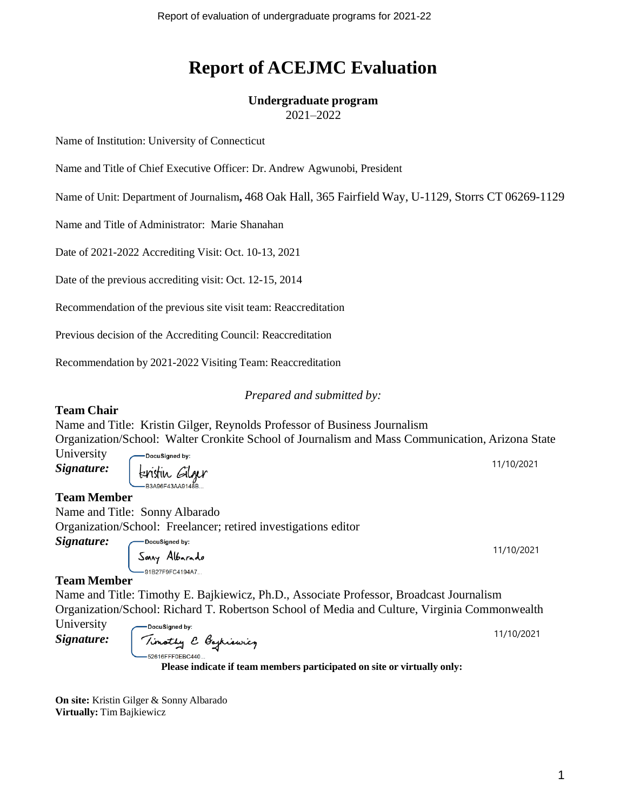# **Report of ACEJMC Evaluation**

# **Undergraduate program**

2021–2022

Name of Institution: University of Connecticut

Name and Title of Chief Executive Officer: Dr. Andrew Agwunobi, President

Name of Unit: Department of Journalism**,** 468 Oak Hall, 365 Fairfield Way, U-1129, Storrs CT 06269-1129

Name and Title of Administrator: Marie Shanahan

Date of 2021-2022 Accrediting Visit: Oct. 10-13, 2021

Date of the previous accrediting visit: Oct. 12-15, 2014

Recommendation of the previous site visit team: Reaccreditation

Previous decision of the Accrediting Council: Reaccreditation

Recommendation by 2021-2022 Visiting Team: Reaccreditation

### *Prepared and submitted by:*

### **Team Chair**

Name and Title: Kristin Gilger, Reynolds Professor of Business Journalism Organization/School: Walter Cronkite School of Journalism and Mass Communication, Arizona State

University *Signature:*

**DocuSianed by:** tenstin Gilger ،<br>B3A96F43AA9148-

**Team Member**

Name and Title: Sonny Albarado

Organization/School: Freelancer; retired investigations editor DocuSigned by:

*Signature:*

Sonry Albarado -91B27F9FC4194A7...

### **Team Member**

Name and Title: Timothy E. Bajkiewicz, Ph.D., Associate Professor, Broadcast Journalism Organization/School: Richard T. Robertson School of Media and Culture, Virginia Commonwealth

University -DocuSianed by: 11/10/2021 Timothy & Bagkiewicz *Signature:* 52616FFF0EBC440.

**Please indicate if team members participated on site or virtually only:**

**On site:** Kristin Gilger & Sonny Albarado **Virtually:** Tim Bajkiewicz

11/10/2021

11/10/2021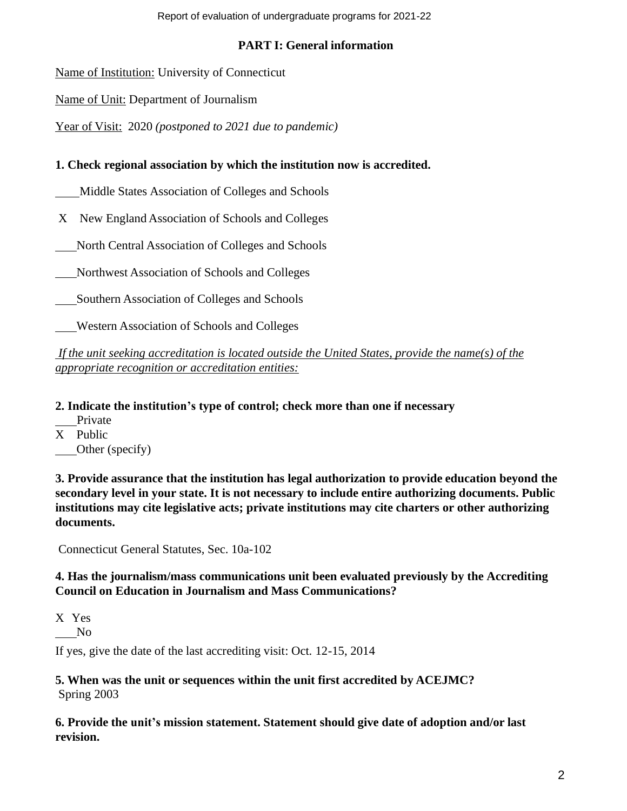Report of evaluation of undergraduate programs for 2021-22

# **PART I: General information**

Name of Institution: University of Connecticut

Name of Unit: Department of Journalism

Year of Visit: 2020 *(postponed to 2021 due to pandemic)*

# **1. Check regional association by which the institution now is accredited.**

Middle States Association of Colleges and Schools

X New England Association of Schools and Colleges

North Central Association of Colleges and Schools

Northwest Association of Schools and Colleges

Southern Association of Colleges and Schools

Western Association of Schools and Colleges

*If the unit seeking accreditation is located outside the United States, provide the name(s) of the appropriate recognition or accreditation entities:*

**2. Indicate the institution's type of control; check more than one if necessary**

Private

X Public Other (specify)

**3. Provide assurance that the institution has legal authorization to provide education beyond the secondary level in your state. It is not necessary to include entire authorizing documents. Public institutions may cite legislative acts; private institutions may cite charters or other authorizing documents.**

Connecticut General Statutes, Sec. 10a-102

# **4. Has the journalism/mass communications unit been evaluated previously by the Accrediting Council on Education in Journalism and Mass Communications?**

X Yes

No

If yes, give the date of the last accrediting visit: Oct. 12-15, 2014

### **5. When was the unit or sequences within the unit first accredited by ACEJMC?** Spring 2003

**6. Provide the unit's mission statement. Statement should give date of adoption and/or last revision.**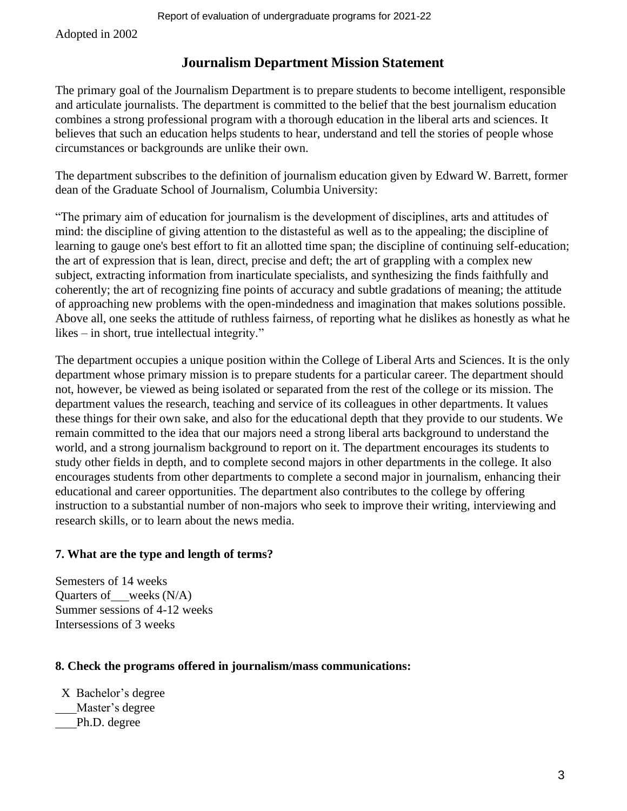Adopted in 2002

# **Journalism Department Mission Statement**

The primary goal of the Journalism Department is to prepare students to become intelligent, responsible and articulate journalists. The department is committed to the belief that the best journalism education combines a strong professional program with a thorough education in the liberal arts and sciences. It believes that such an education helps students to hear, understand and tell the stories of people whose circumstances or backgrounds are unlike their own.

The department subscribes to the definition of journalism education given by Edward W. Barrett, former dean of the Graduate School of Journalism, Columbia University:

"The primary aim of education for journalism is the development of disciplines, arts and attitudes of mind: the discipline of giving attention to the distasteful as well as to the appealing; the discipline of learning to gauge one's best effort to fit an allotted time span; the discipline of continuing self-education; the art of expression that is lean, direct, precise and deft; the art of grappling with a complex new subject, extracting information from inarticulate specialists, and synthesizing the finds faithfully and coherently; the art of recognizing fine points of accuracy and subtle gradations of meaning; the attitude of approaching new problems with the open-mindedness and imagination that makes solutions possible. Above all, one seeks the attitude of ruthless fairness, of reporting what he dislikes as honestly as what he likes – in short, true intellectual integrity."

The department occupies a unique position within the College of Liberal Arts and Sciences. It is the only department whose primary mission is to prepare students for a particular career. The department should not, however, be viewed as being isolated or separated from the rest of the college or its mission. The department values the research, teaching and service of its colleagues in other departments. It values these things for their own sake, and also for the educational depth that they provide to our students. We remain committed to the idea that our majors need a strong liberal arts background to understand the world, and a strong journalism background to report on it. The department encourages its students to study other fields in depth, and to complete second majors in other departments in the college. It also encourages students from other departments to complete a second major in journalism, enhancing their educational and career opportunities. The department also contributes to the college by offering instruction to a substantial number of non-majors who seek to improve their writing, interviewing and research skills, or to learn about the news media.

### **7. What are the type and length of terms?**

Semesters of 14 weeks Quarters of weeks (N/A) Summer sessions of 4-12 weeks Intersessions of 3 weeks

### **8. Check the programs offered in journalism/mass communications:**

X Bachelor's degree Master's degree Ph.D. degree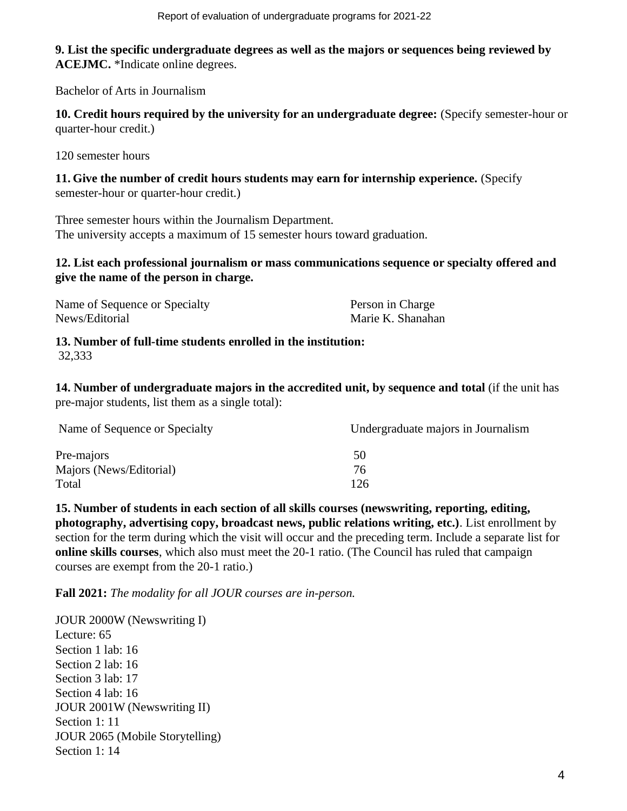**9. List the specific undergraduate degrees as well as the majors or sequences being reviewed by ACEJMC.** \*Indicate online degrees.

Bachelor of Arts in Journalism

**10. Credit hours required by the university for an undergraduate degree:** (Specify semester-hour or quarter-hour credit.)

120 semester hours

**11. Give the number of credit hours students may earn for internship experience.** (Specify semester-hour or quarter-hour credit.)

Three semester hours within the Journalism Department. The university accepts a maximum of 15 semester hours toward graduation.

### **12. List each professional journalism or mass communications sequence or specialty offered and give the name of the person in charge.**

| Name of Sequence or Specialty | Person in Charge  |
|-------------------------------|-------------------|
| News/Editorial                | Marie K. Shanahan |

**13. Number of full-time students enrolled in the institution:** 32,333

**14. Number of undergraduate majors in the accredited unit, by sequence and total** (if the unit has pre-major students, list them as a single total):

| Name of Sequence or Specialty | Undergraduate majors in Journalism |
|-------------------------------|------------------------------------|
| Pre-majors                    | 50                                 |
| Majors (News/Editorial)       | 76                                 |
| Total                         | 126                                |

**15. Number of students in each section of all skills courses (newswriting, reporting, editing, photography, advertising copy, broadcast news, public relations writing, etc.)**. List enrollment by section for the term during which the visit will occur and the preceding term. Include a separate list for **online skills courses**, which also must meet the 20-1 ratio. (The Council has ruled that campaign courses are exempt from the 20-1 ratio.)

**Fall 2021:** *The modality for all JOUR courses are in-person.*

JOUR 2000W (Newswriting I) Lecture: 65 Section 1 lab: 16 Section 2 lab: 16 Section 3 lab: 17 Section 4 lab: 16 JOUR 2001W (Newswriting II) Section 1: 11 JOUR 2065 (Mobile Storytelling) Section 1: 14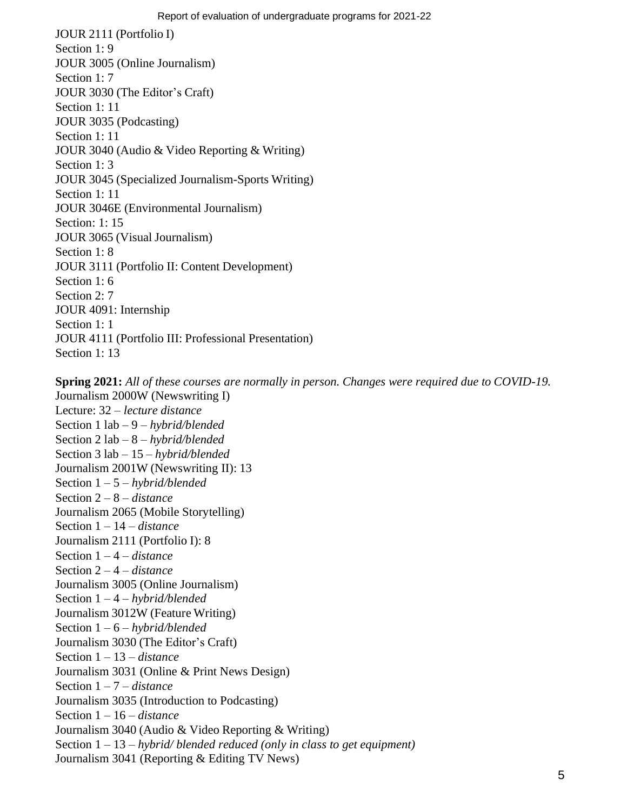JOUR 2111 (Portfolio I) Section 1: 9 JOUR 3005 (Online Journalism) Section 1: 7 JOUR 3030 (The Editor's Craft) Section 1: 11 JOUR 3035 (Podcasting) Section 1: 11 JOUR 3040 (Audio & Video Reporting & Writing) Section 1: 3 JOUR 3045 (Specialized Journalism-Sports Writing) Section 1: 11 JOUR 3046E (Environmental Journalism) Section: 1: 15 JOUR 3065 (Visual Journalism) Section 1: 8 JOUR 3111 (Portfolio II: Content Development) Section 1:6 Section 2: 7 JOUR 4091: Internship Section 1: 1 JOUR 4111 (Portfolio III: Professional Presentation) Section 1: 13

**Spring 2021:** *All of these courses are normally in person. Changes were required due to COVID-19.* Journalism 2000W (Newswriting I) Lecture: 32 – *lecture distance* Section 1 lab – 9 – *hybrid/blended* Section 2 lab – 8 – *hybrid/blended* Section 3 lab – 15 – *hybrid/blended* Journalism 2001W (Newswriting II): 13 Section 1 – 5 – *hybrid/blended* Section 2 – 8 – *distance* Journalism 2065 (Mobile Storytelling) Section 1 – 14 – *distance* Journalism 2111 (Portfolio I): 8 Section 1 – 4 – *distance* Section 2 – 4 – *distance* Journalism 3005 (Online Journalism) Section 1 – 4 – *hybrid/blended* Journalism 3012W (Feature Writing) Section 1 – 6 – *hybrid/blended* Journalism 3030 (The Editor's Craft) Section 1 – 13 – *distance* Journalism 3031 (Online & Print News Design) Section 1 – 7 – *distance* Journalism 3035 (Introduction to Podcasting) Section 1 – 16 – *distance* Journalism 3040 (Audio & Video Reporting & Writing) Section 1 – 13 – *hybrid/ blended reduced (only in class to get equipment)* Journalism 3041 (Reporting & Editing TV News)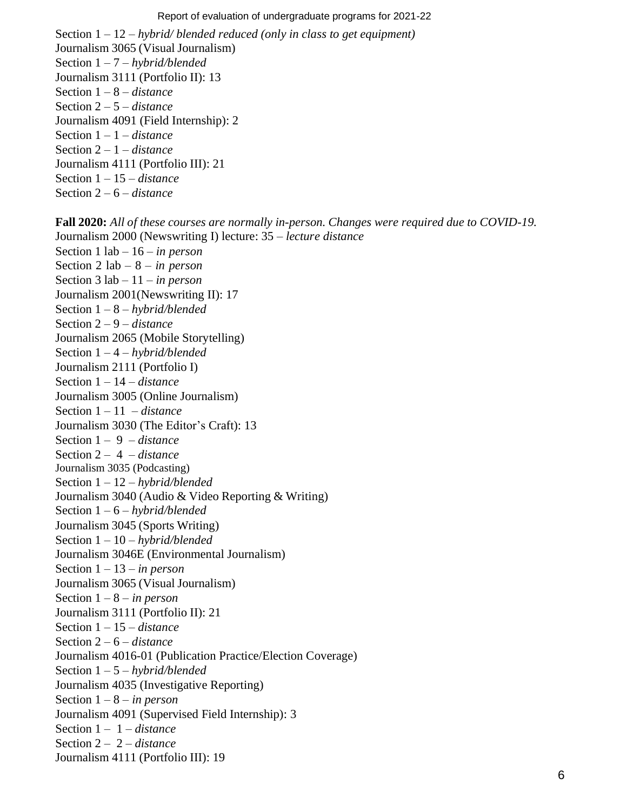Section 1 – 12 – *hybrid/ blended reduced (only in class to get equipment)* Journalism 3065 (Visual Journalism) Section 1 – 7 – *hybrid/blended* Journalism 3111 (Portfolio II): 13 Section 1 – 8 – *distance* Section 2 – 5 – *distance* Journalism 4091 (Field Internship): 2 Section 1 – 1 – *distance* Section 2 – 1 – *distance* Journalism 4111 (Portfolio III): 21 Section 1 – 15 – *distance* Section 2 – 6 – *distance*

**Fall 2020:** *All of these courses are normally in-person. Changes were required due to COVID-19.* Journalism 2000 (Newswriting I) lecture: 35 – *lecture distance* Section 1 lab – 16 – *in person* Section 2 lab – 8 – *in person* Section 3 lab – 11 – *in person* Journalism 2001(Newswriting II): 17 Section 1 – 8 – *hybrid/blended* Section 2 – 9 – *distance* Journalism 2065 (Mobile Storytelling) Section 1 – 4 – *hybrid/blended* Journalism 2111 (Portfolio I) Section 1 – 14 – *distance* Journalism 3005 (Online Journalism) Section 1 – 11 – *distance* Journalism 3030 (The Editor's Craft): 13 Section 1 – 9 – *distance* Section 2 – 4 – *distance* Journalism 3035 (Podcasting) Section 1 – 12 – *hybrid/blended* Journalism 3040 (Audio & Video Reporting & Writing) Section 1 – 6 – *hybrid/blended* Journalism 3045 (Sports Writing) Section 1 – 10 – *hybrid/blended* Journalism 3046E (Environmental Journalism) Section 1 – 13 – *in person* Journalism 3065 (Visual Journalism) Section 1 – 8 – *in person* Journalism 3111 (Portfolio II): 21 Section 1 – 15 – *distance* Section 2 – 6 – *distance* Journalism 4016-01 (Publication Practice/Election Coverage) Section 1 – 5 – *hybrid/blended* Journalism 4035 (Investigative Reporting) Section 1 – 8 – *in person* Journalism 4091 (Supervised Field Internship): 3 Section 1 – 1 – *distance* Section 2 – 2 – *distance* Journalism 4111 (Portfolio III): 19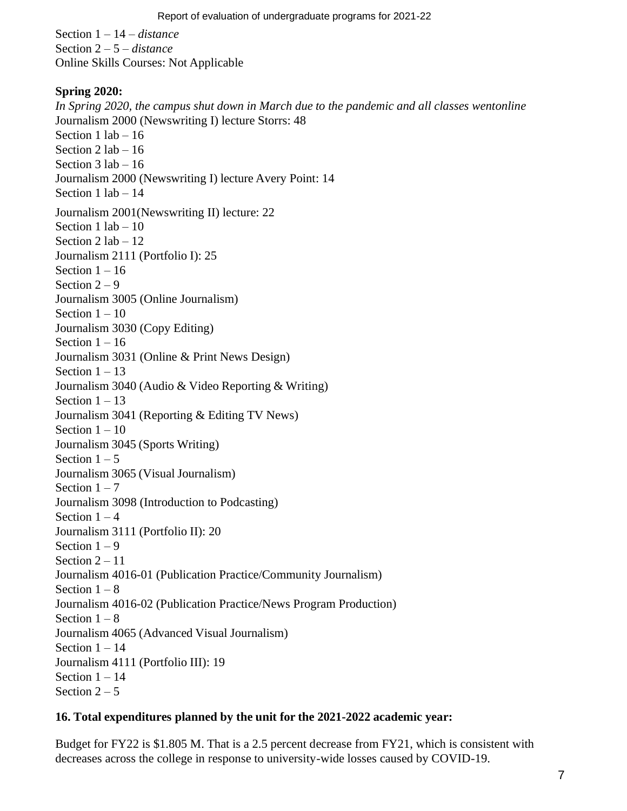Section 1 – 14 – *distance* Section 2 – 5 *– distance* Online Skills Courses: Not Applicable

### **Spring 2020:**

*In Spring 2020, the campus shut down in March due to the pandemic and all classes wentonline* Journalism 2000 (Newswriting I) lecture Storrs: 48 Section  $1$  lab  $-16$ Section  $2$  lab  $-16$ Section 3 lab – 16 Journalism 2000 (Newswriting I) lecture Avery Point: 14 Section  $1$  lab  $-14$ Journalism 2001(Newswriting II) lecture: 22 Section  $1$  lab  $-10$ Section 2 lab – 12 Journalism 2111 (Portfolio I): 25 Section  $1 - 16$ Section  $2 - 9$ Journalism 3005 (Online Journalism) Section  $1 - 10$ Journalism 3030 (Copy Editing) Section  $1 - 16$ Journalism 3031 (Online & Print News Design) Section  $1 - 13$ Journalism 3040 (Audio & Video Reporting & Writing) Section  $1 - 13$ Journalism 3041 (Reporting & Editing TV News) Section  $1 - 10$ Journalism 3045 (Sports Writing) Section  $1 - 5$ Journalism 3065 (Visual Journalism) Section  $1 - 7$ Journalism 3098 (Introduction to Podcasting) Section  $1 - 4$ Journalism 3111 (Portfolio II): 20 Section  $1 - 9$ Section  $2 - 11$ Journalism 4016-01 (Publication Practice/Community Journalism) Section  $1 - 8$ Journalism 4016-02 (Publication Practice/News Program Production) Section  $1 - 8$ Journalism 4065 (Advanced Visual Journalism) Section  $1 - 14$ Journalism 4111 (Portfolio III): 19 Section  $1 - 14$ Section  $2 - 5$ 

### **16. Total expenditures planned by the unit for the 2021-2022 academic year:**

Budget for FY22 is \$1.805 M. That is a 2.5 percent decrease from FY21, which is consistent with decreases across the college in response to university-wide losses caused by COVID-19.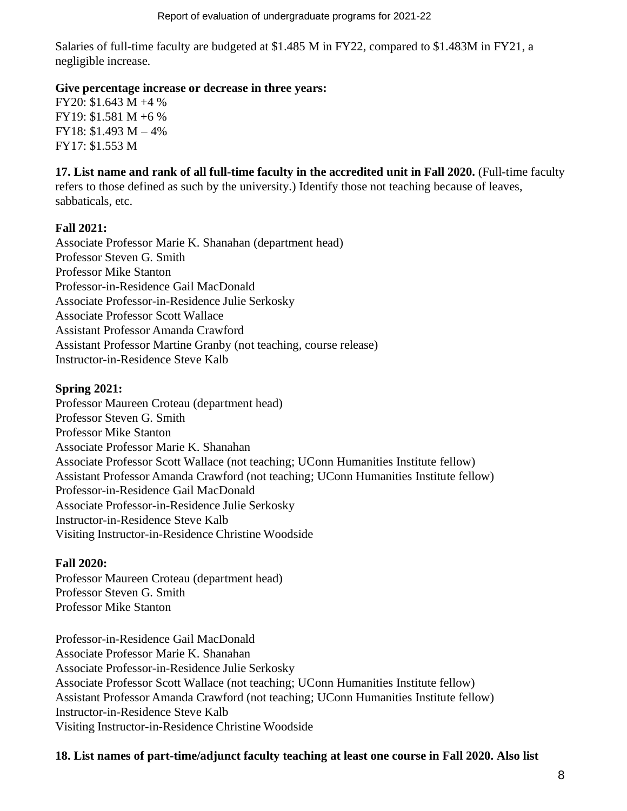Salaries of full-time faculty are budgeted at \$1.485 M in FY22, compared to \$1.483M in FY21, a negligible increase.

### **Give percentage increase or decrease in three years:**

FY20: \$1.643 M +4 % FY19: \$1.581 M +6 % FY18: \$1.493 M – 4% FY17: \$1.553 M

**17. List name and rank of all full-time faculty in the accredited unit in Fall 2020.** (Full-time faculty refers to those defined as such by the university.) Identify those not teaching because of leaves, sabbaticals, etc.

### **Fall 2021:**

Associate Professor Marie K. Shanahan (department head) Professor Steven G. Smith Professor Mike Stanton Professor-in-Residence Gail MacDonald Associate Professor-in-Residence Julie Serkosky Associate Professor Scott Wallace Assistant Professor Amanda Crawford Assistant Professor Martine Granby (not teaching, course release) Instructor-in-Residence Steve Kalb

### **Spring 2021:**

Professor Maureen Croteau (department head) Professor Steven G. Smith Professor Mike Stanton Associate Professor Marie K. Shanahan Associate Professor Scott Wallace (not teaching; UConn Humanities Institute fellow) Assistant Professor Amanda Crawford (not teaching; UConn Humanities Institute fellow) Professor-in-Residence Gail MacDonald Associate Professor-in-Residence Julie Serkosky Instructor-in-Residence Steve Kalb Visiting Instructor-in-Residence Christine Woodside

### **Fall 2020:**

Professor Maureen Croteau (department head) Professor Steven G. Smith Professor Mike Stanton

Professor-in-Residence Gail MacDonald Associate Professor Marie K. Shanahan Associate Professor-in-Residence Julie Serkosky Associate Professor Scott Wallace (not teaching; UConn Humanities Institute fellow) Assistant Professor Amanda Crawford (not teaching; UConn Humanities Institute fellow) Instructor-in-Residence Steve Kalb Visiting Instructor-in-Residence Christine Woodside

### **18. List names of part-time/adjunct faculty teaching at least one course in Fall 2020. Also list**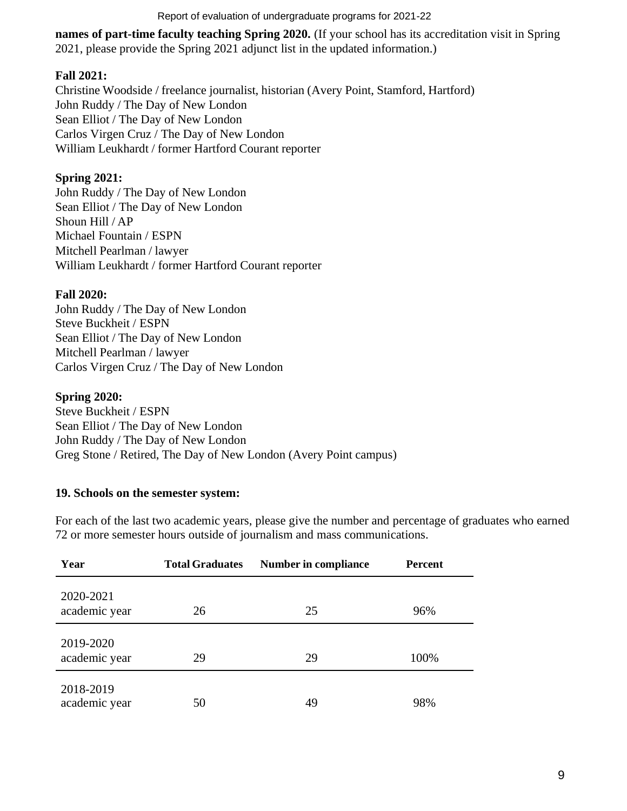#### Report of evaluation of undergraduate programs for 2021-22

**names of part-time faculty teaching Spring 2020.** (If your school has its accreditation visit in Spring 2021, please provide the Spring 2021 adjunct list in the updated information.)

### **Fall 2021:**

Christine Woodside / freelance journalist, historian (Avery Point, Stamford, Hartford) John Ruddy / The Day of New London Sean Elliot / The Day of New London Carlos Virgen Cruz / The Day of New London William Leukhardt / former Hartford Courant reporter

# **Spring 2021:**

John Ruddy / The Day of New London Sean Elliot / The Day of New London Shoun Hill / AP Michael Fountain / ESPN Mitchell Pearlman / lawyer William Leukhardt / former Hartford Courant reporter

### **Fall 2020:**

John Ruddy / The Day of New London Steve Buckheit / ESPN Sean Elliot / The Day of New London Mitchell Pearlman / lawyer Carlos Virgen Cruz / The Day of New London

### **Spring 2020:**

Steve Buckheit / ESPN Sean Elliot / The Day of New London John Ruddy / The Day of New London Greg Stone / Retired, The Day of New London (Avery Point campus)

### **19. Schools on the semester system:**

For each of the last two academic years, please give the number and percentage of graduates who earned 72 or more semester hours outside of journalism and mass communications.

| Year                       | <b>Total Graduates</b> | <b>Number in compliance</b> | <b>Percent</b> |  |  |
|----------------------------|------------------------|-----------------------------|----------------|--|--|
| 2020-2021<br>academic year | 26                     | 25                          | 96%            |  |  |
| 2019-2020<br>academic year | 29                     | 29                          | 100%           |  |  |
| 2018-2019<br>academic year | 50                     | 49                          | 98%            |  |  |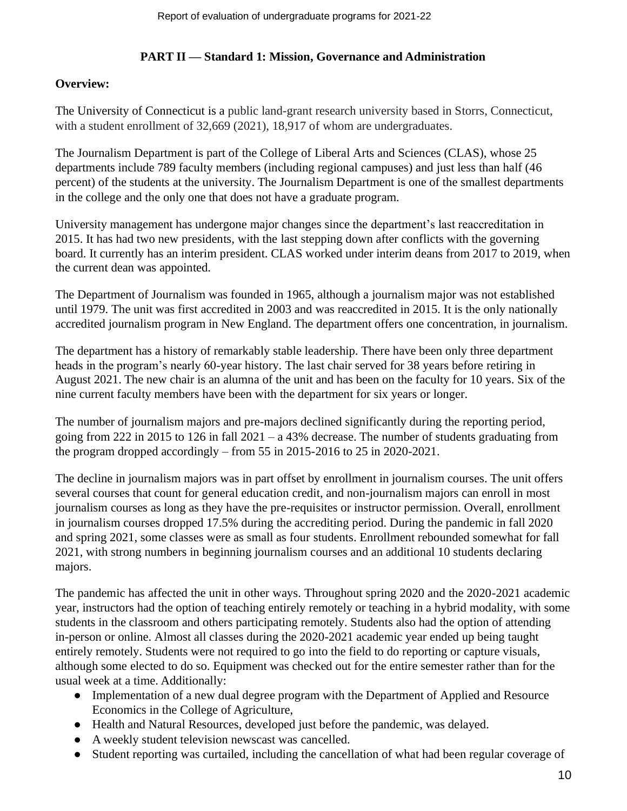# **PART II — Standard 1: Mission, Governance and Administration**

# **Overview:**

The University of Connecticut is a public land-grant research university based in Storrs, Connecticut, with a student enrollment of 32,669 (2021), 18,917 of whom are undergraduates.

The Journalism Department is part of the College of Liberal Arts and Sciences (CLAS), whose 25 departments include 789 faculty members (including regional campuses) and just less than half (46 percent) of the students at the university. The Journalism Department is one of the smallest departments in the college and the only one that does not have a graduate program.

University management has undergone major changes since the department's last reaccreditation in 2015. It has had two new presidents, with the last stepping down after conflicts with the governing board. It currently has an interim president. CLAS worked under interim deans from 2017 to 2019, when the current dean was appointed.

The Department of Journalism was founded in 1965, although a journalism major was not established until 1979. The unit was first accredited in 2003 and was reaccredited in 2015. It is the only nationally accredited journalism program in New England. The department offers one concentration, in journalism.

The department has a history of remarkably stable leadership. There have been only three department heads in the program's nearly 60-year history. The last chair served for 38 years before retiring in August 2021. The new chair is an alumna of the unit and has been on the faculty for 10 years. Six of the nine current faculty members have been with the department for six years or longer.

The number of journalism majors and pre-majors declined significantly during the reporting period, going from 222 in 2015 to 126 in fall  $2021 - a$  43% decrease. The number of students graduating from the program dropped accordingly – from 55 in 2015-2016 to 25 in 2020-2021.

The decline in journalism majors was in part offset by enrollment in journalism courses. The unit offers several courses that count for general education credit, and non-journalism majors can enroll in most journalism courses as long as they have the pre-requisites or instructor permission. Overall, enrollment in journalism courses dropped 17.5% during the accrediting period. During the pandemic in fall 2020 and spring 2021, some classes were as small as four students. Enrollment rebounded somewhat for fall 2021, with strong numbers in beginning journalism courses and an additional 10 students declaring majors.

The pandemic has affected the unit in other ways. Throughout spring 2020 and the 2020-2021 academic year, instructors had the option of teaching entirely remotely or teaching in a hybrid modality, with some students in the classroom and others participating remotely. Students also had the option of attending in-person or online. Almost all classes during the 2020-2021 academic year ended up being taught entirely remotely. Students were not required to go into the field to do reporting or capture visuals, although some elected to do so. Equipment was checked out for the entire semester rather than for the usual week at a time. Additionally:

- Implementation of a new dual degree program with the Department of Applied and Resource Economics in the College of Agriculture,
- Health and Natural Resources, developed just before the pandemic, was delayed.
- A weekly student television newscast was cancelled.
- Student reporting was curtailed, including the cancellation of what had been regular coverage of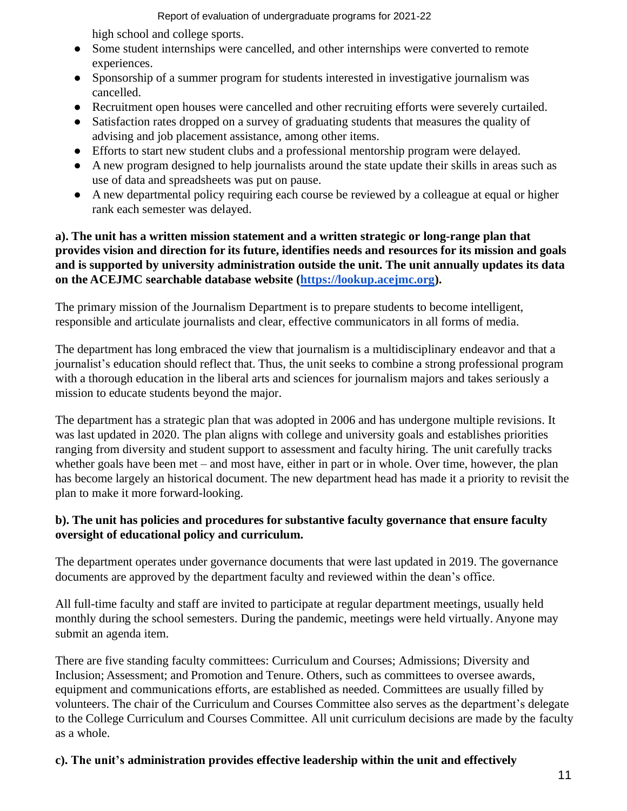Report of evaluation of undergraduate programs for 2021-22

high school and college sports.

- Some student internships were cancelled, and other internships were converted to remote experiences.
- Sponsorship of a summer program for students interested in investigative journalism was cancelled.
- Recruitment open houses were cancelled and other recruiting efforts were severely curtailed.
- Satisfaction rates dropped on a survey of graduating students that measures the quality of advising and job placement assistance, among other items.
- Efforts to start new student clubs and a professional mentorship program were delayed.
- A new program designed to help journalists around the state update their skills in areas such as use of data and spreadsheets was put on pause.
- A new departmental policy requiring each course be reviewed by a colleague at equal or higher rank each semester was delayed.

### **a). The unit has a written mission statement and a written strategic or long-range plan that provides vision and direction for its future, identifies needs and resources for its mission and goals and is supported by university administration outside the unit. The unit annually updates its data on the ACEJMC searchable database website [\(https://lookup.acejmc.org\)](https://lookup.acejmc.org/).**

The primary mission of the Journalism Department is to prepare students to become intelligent, responsible and articulate journalists and clear, effective communicators in all forms of media.

The department has long embraced the view that journalism is a multidisciplinary endeavor and that a journalist's education should reflect that. Thus, the unit seeks to combine a strong professional program with a thorough education in the liberal arts and sciences for journalism majors and takes seriously a mission to educate students beyond the major.

The department has a strategic plan that was adopted in 2006 and has undergone multiple revisions. It was last updated in 2020. The plan aligns with college and university goals and establishes priorities ranging from diversity and student support to assessment and faculty hiring. The unit carefully tracks whether goals have been met – and most have, either in part or in whole. Over time, however, the plan has become largely an historical document. The new department head has made it a priority to revisit the plan to make it more forward-looking.

# **b). The unit has policies and procedures for substantive faculty governance that ensure faculty oversight of educational policy and curriculum.**

The department operates under governance documents that were last updated in 2019. The governance documents are approved by the department faculty and reviewed within the dean's office.

All full-time faculty and staff are invited to participate at regular department meetings, usually held monthly during the school semesters. During the pandemic, meetings were held virtually. Anyone may submit an agenda item.

There are five standing faculty committees: Curriculum and Courses; Admissions; Diversity and Inclusion; Assessment; and Promotion and Tenure. Others, such as committees to oversee awards, equipment and communications efforts, are established as needed. Committees are usually filled by volunteers. The chair of the Curriculum and Courses Committee also serves as the department's delegate to the College Curriculum and Courses Committee. All unit curriculum decisions are made by the faculty as a whole.

# **c). The unit's administration provides effective leadership within the unit and effectively**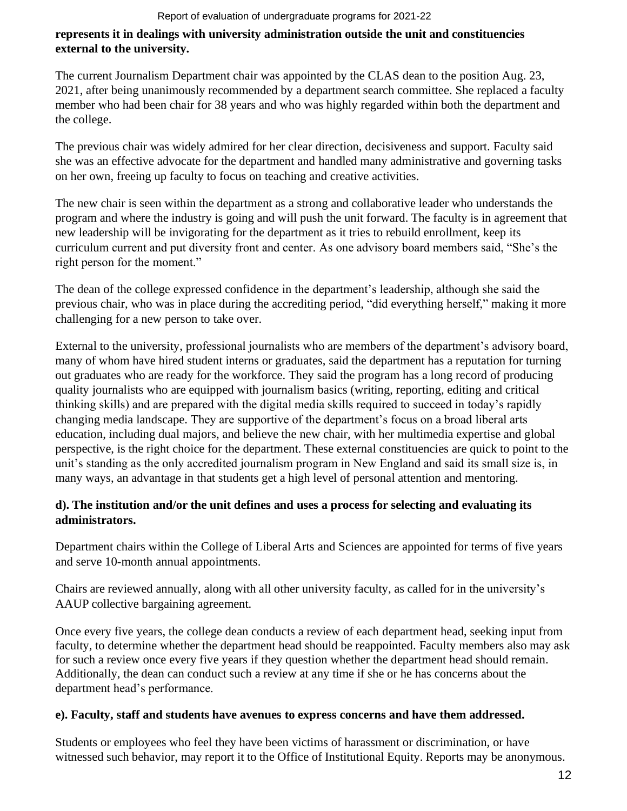### **represents it in dealings with university administration outside the unit and constituencies external to the university.**

The current Journalism Department chair was appointed by the CLAS dean to the position Aug. 23, 2021, after being unanimously recommended by a department search committee. She replaced a faculty member who had been chair for 38 years and who was highly regarded within both the department and the college.

The previous chair was widely admired for her clear direction, decisiveness and support. Faculty said she was an effective advocate for the department and handled many administrative and governing tasks on her own, freeing up faculty to focus on teaching and creative activities.

The new chair is seen within the department as a strong and collaborative leader who understands the program and where the industry is going and will push the unit forward. The faculty is in agreement that new leadership will be invigorating for the department as it tries to rebuild enrollment, keep its curriculum current and put diversity front and center. As one advisory board members said, "She's the right person for the moment."

The dean of the college expressed confidence in the department's leadership, although she said the previous chair, who was in place during the accrediting period, "did everything herself," making it more challenging for a new person to take over.

External to the university, professional journalists who are members of the department's advisory board, many of whom have hired student interns or graduates, said the department has a reputation for turning out graduates who are ready for the workforce. They said the program has a long record of producing quality journalists who are equipped with journalism basics (writing, reporting, editing and critical thinking skills) and are prepared with the digital media skills required to succeed in today's rapidly changing media landscape. They are supportive of the department's focus on a broad liberal arts education, including dual majors, and believe the new chair, with her multimedia expertise and global perspective, is the right choice for the department. These external constituencies are quick to point to the unit's standing as the only accredited journalism program in New England and said its small size is, in many ways, an advantage in that students get a high level of personal attention and mentoring.

# **d). The institution and/or the unit defines and uses a process for selecting and evaluating its administrators.**

Department chairs within the College of Liberal Arts and Sciences are appointed for terms of five years and serve 10-month annual appointments.

Chairs are reviewed annually, along with all other university faculty, as called for in the university's AAUP collective bargaining agreement.

Once every five years, the college dean conducts a review of each department head, seeking input from faculty, to determine whether the department head should be reappointed. Faculty members also may ask for such a review once every five years if they question whether the department head should remain. Additionally, the dean can conduct such a review at any time if she or he has concerns about the department head's performance.

# **e). Faculty, staff and students have avenues to express concerns and have them addressed.**

Students or employees who feel they have been victims of harassment or discrimination, or have witnessed such behavior, may report it to the Office of Institutional Equity. Reports may be anonymous.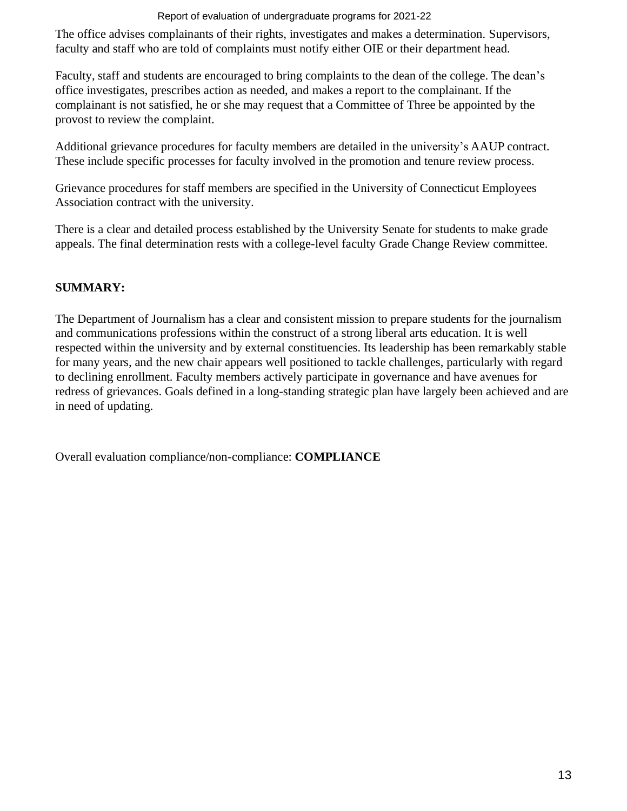### Report of evaluation of undergraduate programs for 2021-22

The office advises complainants of their rights, investigates and makes a determination. Supervisors, faculty and staff who are told of complaints must notify either OIE or their department head.

Faculty, staff and students are encouraged to bring complaints to the dean of the college. The dean's office investigates, prescribes action as needed, and makes a report to the complainant. If the complainant is not satisfied, he or she may request that a Committee of Three be appointed by the provost to review the complaint.

Additional grievance procedures for faculty members are detailed in the university's AAUP contract. These include specific processes for faculty involved in the promotion and tenure review process.

Grievance procedures for staff members are specified in the University of Connecticut Employees Association contract with the university.

There is a clear and detailed process established by the University Senate for students to make grade appeals. The final determination rests with a college-level faculty Grade Change Review committee.

# **SUMMARY:**

The Department of Journalism has a clear and consistent mission to prepare students for the journalism and communications professions within the construct of a strong liberal arts education. It is well respected within the university and by external constituencies. Its leadership has been remarkably stable for many years, and the new chair appears well positioned to tackle challenges, particularly with regard to declining enrollment. Faculty members actively participate in governance and have avenues for redress of grievances. Goals defined in a long-standing strategic plan have largely been achieved and are in need of updating.

Overall evaluation compliance/non-compliance: **COMPLIANCE**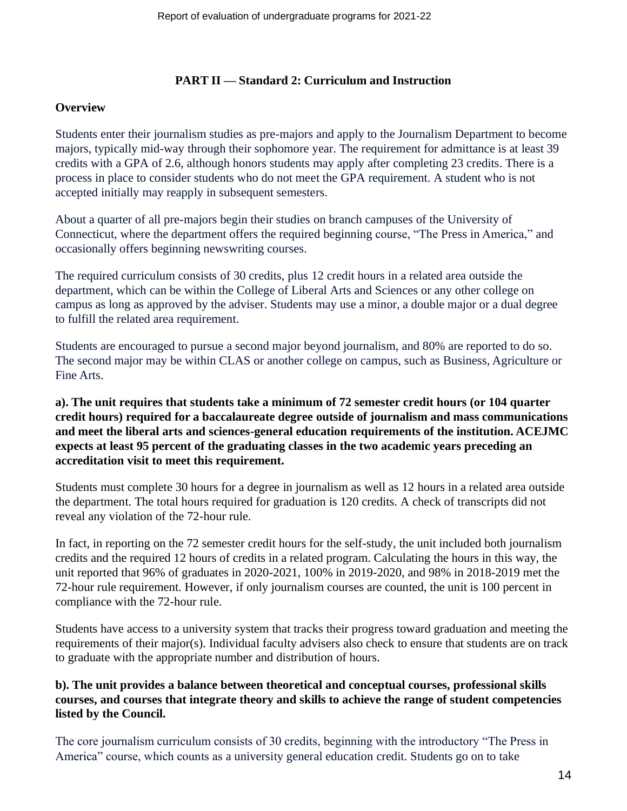### **PART II — Standard 2: Curriculum and Instruction**

### **Overview**

Students enter their journalism studies as pre-majors and apply to the Journalism Department to become majors, typically mid-way through their sophomore year. The requirement for admittance is at least 39 credits with a GPA of 2.6, although honors students may apply after completing 23 credits. There is a process in place to consider students who do not meet the GPA requirement. A student who is not accepted initially may reapply in subsequent semesters.

About a quarter of all pre-majors begin their studies on branch campuses of the University of Connecticut, where the department offers the required beginning course, "The Press in America," and occasionally offers beginning newswriting courses.

The required curriculum consists of 30 credits, plus 12 credit hours in a related area outside the department, which can be within the College of Liberal Arts and Sciences or any other college on campus as long as approved by the adviser. Students may use a minor, a double major or a dual degree to fulfill the related area requirement.

Students are encouraged to pursue a second major beyond journalism, and 80% are reported to do so. The second major may be within CLAS or another college on campus, such as Business, Agriculture or Fine Arts.

# **a). The unit requires that students take a minimum of 72 semester credit hours (or 104 quarter credit hours) required for a baccalaureate degree outside of journalism and mass communications and meet the liberal arts and sciences-general education requirements of the institution. ACEJMC expects at least 95 percent of the graduating classes in the two academic years preceding an accreditation visit to meet this requirement.**

Students must complete 30 hours for a degree in journalism as well as 12 hours in a related area outside the department. The total hours required for graduation is 120 credits. A check of transcripts did not reveal any violation of the 72-hour rule.

In fact, in reporting on the 72 semester credit hours for the self-study, the unit included both journalism credits and the required 12 hours of credits in a related program. Calculating the hours in this way, the unit reported that 96% of graduates in 2020-2021, 100% in 2019-2020, and 98% in 2018-2019 met the 72-hour rule requirement. However, if only journalism courses are counted, the unit is 100 percent in compliance with the 72-hour rule.

Students have access to a university system that tracks their progress toward graduation and meeting the requirements of their major(s). Individual faculty advisers also check to ensure that students are on track to graduate with the appropriate number and distribution of hours.

# **b). The unit provides a balance between theoretical and conceptual courses, professional skills courses, and courses that integrate theory and skills to achieve the range of student competencies listed by the Council.**

The core journalism curriculum consists of 30 credits, beginning with the introductory "The Press in America" course, which counts as a university general education credit. Students go on to take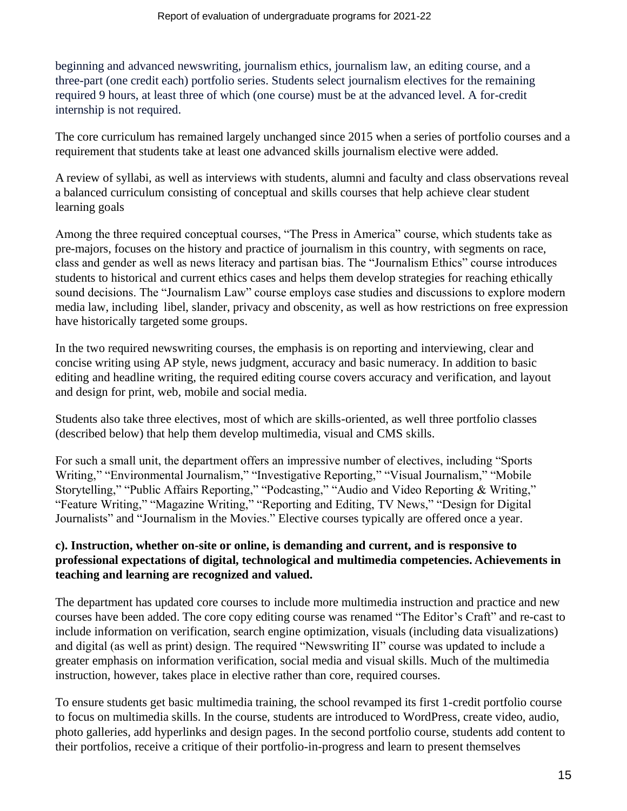beginning and advanced newswriting, journalism ethics, journalism law, an editing course, and a three-part (one credit each) portfolio series. Students select journalism electives for the remaining required 9 hours, at least three of which (one course) must be at the advanced level. A for-credit internship is not required.

The core curriculum has remained largely unchanged since 2015 when a series of portfolio courses and a requirement that students take at least one advanced skills journalism elective were added.

A review of syllabi, as well as interviews with students, alumni and faculty and class observations reveal a balanced curriculum consisting of conceptual and skills courses that help achieve clear student learning goals

Among the three required conceptual courses, "The Press in America" course, which students take as pre-majors, focuses on the history and practice of journalism in this country, with segments on race, class and gender as well as news literacy and partisan bias. The "Journalism Ethics" course introduces students to historical and current ethics cases and helps them develop strategies for reaching ethically sound decisions. The "Journalism Law" course employs case studies and discussions to explore modern media law, including libel, slander, privacy and obscenity, as well as how restrictions on free expression have historically targeted some groups.

In the two required newswriting courses, the emphasis is on reporting and interviewing, clear and concise writing using AP style, news judgment, accuracy and basic numeracy. In addition to basic editing and headline writing, the required editing course covers accuracy and verification, and layout and design for print, web, mobile and social media.

Students also take three electives, most of which are skills-oriented, as well three portfolio classes (described below) that help them develop multimedia, visual and CMS skills.

For such a small unit, the department offers an impressive number of electives, including "Sports Writing," "Environmental Journalism," "Investigative Reporting," "Visual Journalism," "Mobile Storytelling," "Public Affairs Reporting," "Podcasting," "Audio and Video Reporting & Writing," "Feature Writing," "Magazine Writing," "Reporting and Editing, TV News," "Design for Digital Journalists" and "Journalism in the Movies." Elective courses typically are offered once a year.

### **c). Instruction, whether on-site or online, is demanding and current, and is responsive to professional expectations of digital, technological and multimedia competencies. Achievements in teaching and learning are recognized and valued.**

The department has updated core courses to include more multimedia instruction and practice and new courses have been added. The core copy editing course was renamed "The Editor's Craft" and re-cast to include information on verification, search engine optimization, visuals (including data visualizations) and digital (as well as print) design. The required "Newswriting II" course was updated to include a greater emphasis on information verification, social media and visual skills. Much of the multimedia instruction, however, takes place in elective rather than core, required courses.

To ensure students get basic multimedia training, the school revamped its first 1-credit portfolio course to focus on multimedia skills. In the course, students are introduced to WordPress, create video, audio, photo galleries, add hyperlinks and design pages. In the second portfolio course, students add content to their portfolios, receive a critique of their portfolio-in-progress and learn to present themselves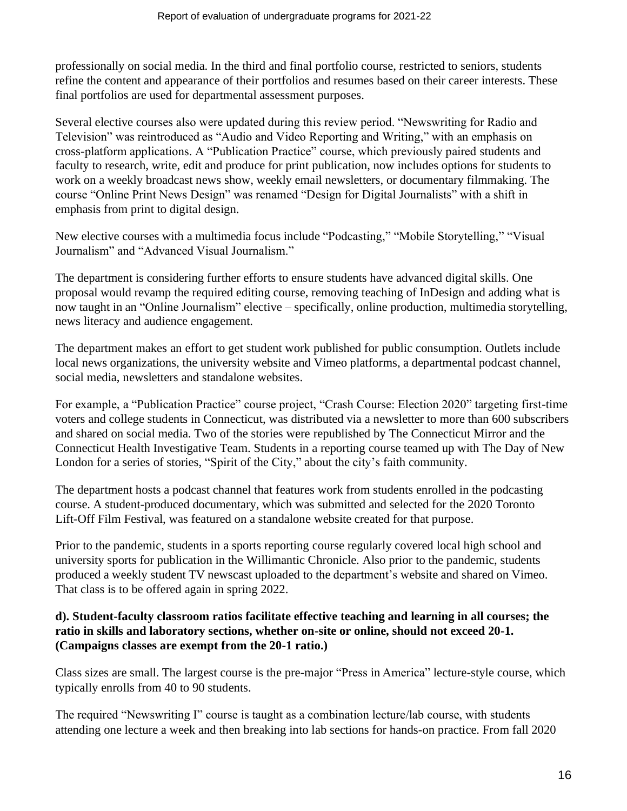professionally on social media. In the third and final portfolio course, restricted to seniors, students refine the content and appearance of their portfolios and resumes based on their career interests. These final portfolios are used for departmental assessment purposes.

Several elective courses also were updated during this review period. "Newswriting for Radio and Television" was reintroduced as "Audio and Video Reporting and Writing," with an emphasis on cross-platform applications. A "Publication Practice" course, which previously paired students and faculty to research, write, edit and produce for print publication, now includes options for students to work on a weekly broadcast news show, weekly email newsletters, or documentary filmmaking. The course "Online Print News Design" was renamed "Design for Digital Journalists" with a shift in emphasis from print to digital design.

New elective courses with a multimedia focus include "Podcasting," "Mobile Storytelling," "Visual Journalism" and "Advanced Visual Journalism."

The department is considering further efforts to ensure students have advanced digital skills. One proposal would revamp the required editing course, removing teaching of InDesign and adding what is now taught in an "Online Journalism" elective – specifically, online production, multimedia storytelling, news literacy and audience engagement.

The department makes an effort to get student work published for public consumption. Outlets include local news organizations, the university website and Vimeo platforms, a departmental podcast channel, social media, newsletters and standalone websites.

For example, a "Publication Practice" course project, "Crash Course: Election 2020" targeting first-time voters and college students in Connecticut, was distributed via a newsletter to more than 600 subscribers and shared on social media. Two of the stories were republished by The Connecticut Mirror and the Connecticut Health Investigative Team. Students in a reporting course teamed up with The Day of New London for a series of stories, "Spirit of the City," about the city's faith community.

The department hosts a podcast channel that features work from students enrolled in the podcasting course. A student-produced documentary, which was submitted and selected for the 2020 Toronto Lift-Off Film Festival, was featured on a standalone website created for that purpose.

Prior to the pandemic, students in a sports reporting course regularly covered local high school and university sports for publication in the Willimantic Chronicle. Also prior to the pandemic, students produced a weekly student TV newscast uploaded to the department's website and shared on Vimeo. That class is to be offered again in spring 2022.

### **d). Student-faculty classroom ratios facilitate effective teaching and learning in all courses; the ratio in skills and laboratory sections, whether on-site or online, should not exceed 20-1. (Campaigns classes are exempt from the 20-1 ratio.)**

Class sizes are small. The largest course is the pre-major "Press in America" lecture-style course, which typically enrolls from 40 to 90 students.

The required "Newswriting I" course is taught as a combination lecture/lab course, with students attending one lecture a week and then breaking into lab sections for hands-on practice. From fall 2020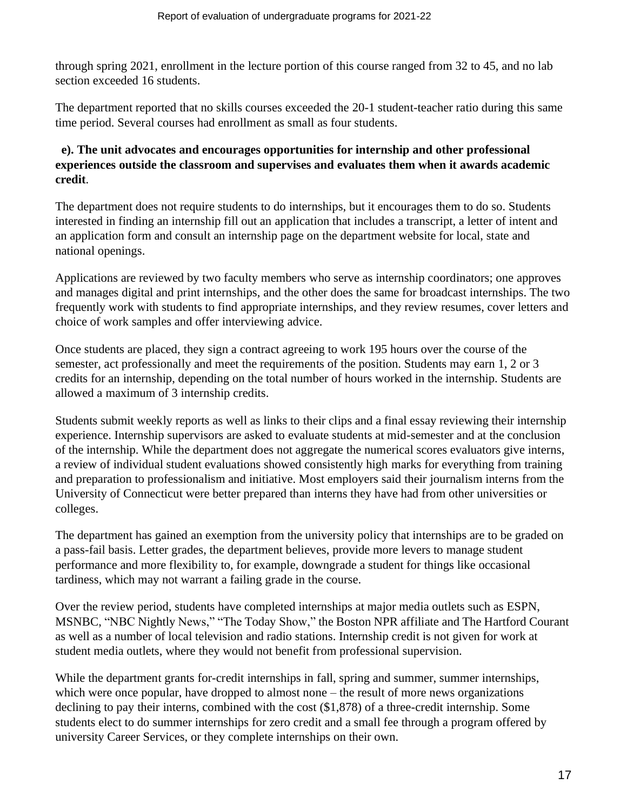through spring 2021, enrollment in the lecture portion of this course ranged from 32 to 45, and no lab section exceeded 16 students.

The department reported that no skills courses exceeded the 20-1 student-teacher ratio during this same time period. Several courses had enrollment as small as four students.

# **e). The unit advocates and encourages opportunities for internship and other professional experiences outside the classroom and supervises and evaluates them when it awards academic credit**.

The department does not require students to do internships, but it encourages them to do so. Students interested in finding an internship fill out an application that includes a transcript, a letter of intent and an application form and consult an internship page on the department website for local, state and national openings.

Applications are reviewed by two faculty members who serve as internship coordinators; one approves and manages digital and print internships, and the other does the same for broadcast internships. The two frequently work with students to find appropriate internships, and they review resumes, cover letters and choice of work samples and offer interviewing advice.

Once students are placed, they sign a contract agreeing to work 195 hours over the course of the semester, act professionally and meet the requirements of the position. Students may earn 1, 2 or 3 credits for an internship, depending on the total number of hours worked in the internship. Students are allowed a maximum of 3 internship credits.

Students submit weekly reports as well as links to their clips and a final essay reviewing their internship experience. Internship supervisors are asked to evaluate students at mid-semester and at the conclusion of the internship. While the department does not aggregate the numerical scores evaluators give interns, a review of individual student evaluations showed consistently high marks for everything from training and preparation to professionalism and initiative. Most employers said their journalism interns from the University of Connecticut were better prepared than interns they have had from other universities or colleges.

The department has gained an exemption from the university policy that internships are to be graded on a pass-fail basis. Letter grades, the department believes, provide more levers to manage student performance and more flexibility to, for example, downgrade a student for things like occasional tardiness, which may not warrant a failing grade in the course.

Over the review period, students have completed internships at major media outlets such as ESPN, MSNBC, "NBC Nightly News," "The Today Show," the Boston NPR affiliate and The Hartford Courant as well as a number of local television and radio stations. Internship credit is not given for work at student media outlets, where they would not benefit from professional supervision.

While the department grants for-credit internships in fall, spring and summer, summer internships, which were once popular, have dropped to almost none – the result of more news organizations declining to pay their interns, combined with the cost (\$1,878) of a three-credit internship. Some students elect to do summer internships for zero credit and a small fee through a program offered by university Career Services, or they complete internships on their own.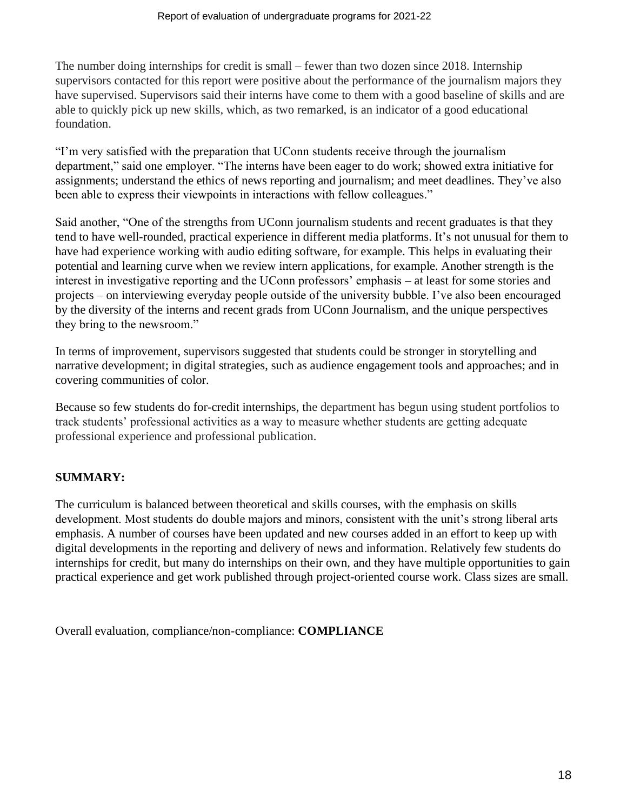The number doing internships for credit is small – fewer than two dozen since 2018. Internship supervisors contacted for this report were positive about the performance of the journalism majors they have supervised. Supervisors said their interns have come to them with a good baseline of skills and are able to quickly pick up new skills, which, as two remarked, is an indicator of a good educational foundation.

"I'm very satisfied with the preparation that UConn students receive through the journalism department," said one employer. "The interns have been eager to do work; showed extra initiative for assignments; understand the ethics of news reporting and journalism; and meet deadlines. They've also been able to express their viewpoints in interactions with fellow colleagues."

Said another, "One of the strengths from UConn journalism students and recent graduates is that they tend to have well-rounded, practical experience in different media platforms. It's not unusual for them to have had experience working with audio editing software, for example. This helps in evaluating their potential and learning curve when we review intern applications, for example. Another strength is the interest in investigative reporting and the UConn professors' emphasis – at least for some stories and projects – on interviewing everyday people outside of the university bubble. I've also been encouraged by the diversity of the interns and recent grads from UConn Journalism, and the unique perspectives they bring to the newsroom."

In terms of improvement, supervisors suggested that students could be stronger in storytelling and narrative development; in digital strategies, such as audience engagement tools and approaches; and in covering communities of color.

Because so few students do for-credit internships, the department has begun using student portfolios to track students' professional activities as a way to measure whether students are getting adequate professional experience and professional publication.

# **SUMMARY:**

The curriculum is balanced between theoretical and skills courses, with the emphasis on skills development. Most students do double majors and minors, consistent with the unit's strong liberal arts emphasis. A number of courses have been updated and new courses added in an effort to keep up with digital developments in the reporting and delivery of news and information. Relatively few students do internships for credit, but many do internships on their own, and they have multiple opportunities to gain practical experience and get work published through project-oriented course work. Class sizes are small.

Overall evaluation, compliance/non-compliance: **COMPLIANCE**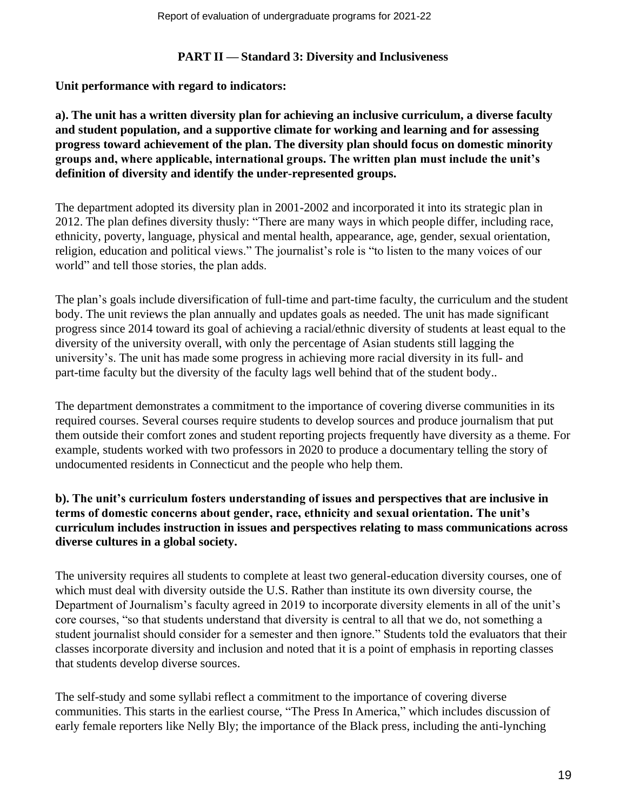### **PART II — Standard 3: Diversity and Inclusiveness**

### **Unit performance with regard to indicators:**

**a). The unit has a written diversity plan for achieving an inclusive curriculum, a diverse faculty and student population, and a supportive climate for working and learning and for assessing progress toward achievement of the plan. The diversity plan should focus on domestic minority groups and, where applicable, international groups. The written plan must include the unit's definition of diversity and identify the under-represented groups.**

The department adopted its diversity plan in 2001-2002 and incorporated it into its strategic plan in 2012. The plan defines diversity thusly: "There are many ways in which people differ, including race, ethnicity, poverty, language, physical and mental health, appearance, age, gender, sexual orientation, religion, education and political views." The journalist's role is "to listen to the many voices of our world" and tell those stories, the plan adds.

The plan's goals include diversification of full-time and part-time faculty, the curriculum and the student body. The unit reviews the plan annually and updates goals as needed. The unit has made significant progress since 2014 toward its goal of achieving a racial/ethnic diversity of students at least equal to the diversity of the university overall, with only the percentage of Asian students still lagging the university's. The unit has made some progress in achieving more racial diversity in its full- and part-time faculty but the diversity of the faculty lags well behind that of the student body..

The department demonstrates a commitment to the importance of covering diverse communities in its required courses. Several courses require students to develop sources and produce journalism that put them outside their comfort zones and student reporting projects frequently have diversity as a theme. For example, students worked with two professors in 2020 to produce a documentary telling the story of undocumented residents in Connecticut and the people who help them.

# **b). The unit's curriculum fosters understanding of issues and perspectives that are inclusive in terms of domestic concerns about gender, race, ethnicity and sexual orientation. The unit's curriculum includes instruction in issues and perspectives relating to mass communications across diverse cultures in a global society.**

The university requires all students to complete at least two general-education diversity courses, one of which must deal with diversity outside the U.S. Rather than institute its own diversity course, the Department of Journalism's faculty agreed in 2019 to incorporate diversity elements in all of the unit's core courses, "so that students understand that diversity is central to all that we do, not something a student journalist should consider for a semester and then ignore." Students told the evaluators that their classes incorporate diversity and inclusion and noted that it is a point of emphasis in reporting classes that students develop diverse sources.

The self-study and some syllabi reflect a commitment to the importance of covering diverse communities. This starts in the earliest course, "The Press In America," which includes discussion of early female reporters like Nelly Bly; the importance of the Black press, including the anti-lynching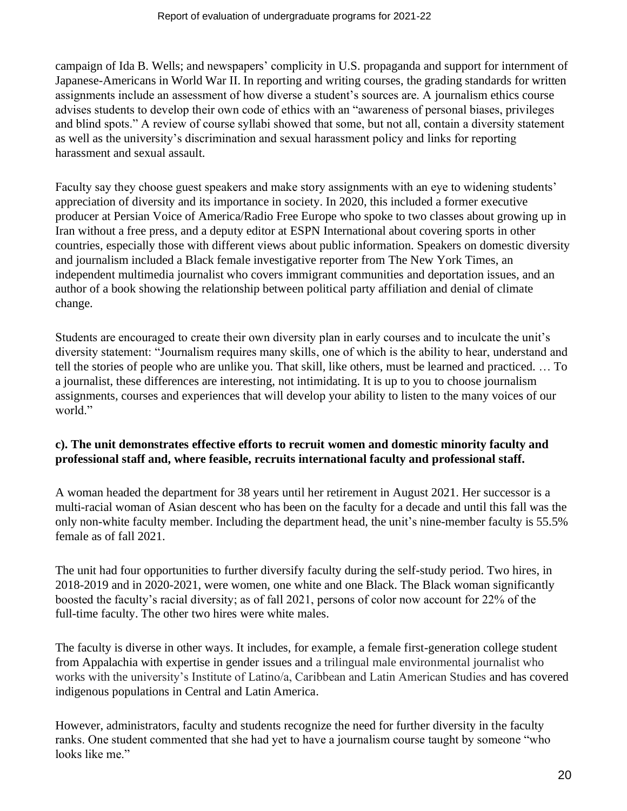campaign of Ida B. Wells; and newspapers' complicity in U.S. propaganda and support for internment of Japanese-Americans in World War II. In reporting and writing courses, the grading standards for written assignments include an assessment of how diverse a student's sources are. A journalism ethics course advises students to develop their own code of ethics with an "awareness of personal biases, privileges and blind spots." A review of course syllabi showed that some, but not all, contain a diversity statement as well as the university's discrimination and sexual harassment policy and links for reporting harassment and sexual assault.

Faculty say they choose guest speakers and make story assignments with an eye to widening students' appreciation of diversity and its importance in society. In 2020, this included a former executive producer at Persian Voice of America/Radio Free Europe who spoke to two classes about growing up in Iran without a free press, and a deputy editor at ESPN International about covering sports in other countries, especially those with different views about public information. Speakers on domestic diversity and journalism included a Black female investigative reporter from The New York Times, an independent multimedia journalist who covers immigrant communities and deportation issues, and an author of a book showing the relationship between political party affiliation and denial of climate change.

Students are encouraged to create their own diversity plan in early courses and to inculcate the unit's diversity statement: "Journalism requires many skills, one of which is the ability to hear, understand and tell the stories of people who are unlike you. That skill, like others, must be learned and practiced. … To a journalist, these differences are interesting, not intimidating. It is up to you to choose journalism assignments, courses and experiences that will develop your ability to listen to the many voices of our world."

# **c). The unit demonstrates effective efforts to recruit women and domestic minority faculty and professional staff and, where feasible, recruits international faculty and professional staff.**

A woman headed the department for 38 years until her retirement in August 2021. Her successor is a multi-racial woman of Asian descent who has been on the faculty for a decade and until this fall was the only non-white faculty member. Including the department head, the unit's nine-member faculty is 55.5% female as of fall 2021.

The unit had four opportunities to further diversify faculty during the self-study period. Two hires, in 2018-2019 and in 2020-2021, were women, one white and one Black. The Black woman significantly boosted the faculty's racial diversity; as of fall 2021, persons of color now account for 22% of the full-time faculty. The other two hires were white males.

The faculty is diverse in other ways. It includes, for example, a female first-generation college student from Appalachia with expertise in gender issues and a trilingual male environmental journalist who works with the university's Institute of Latino/a, Caribbean and Latin American Studies and has covered indigenous populations in Central and Latin America.

However, administrators, faculty and students recognize the need for further diversity in the faculty ranks. One student commented that she had yet to have a journalism course taught by someone "who looks like me."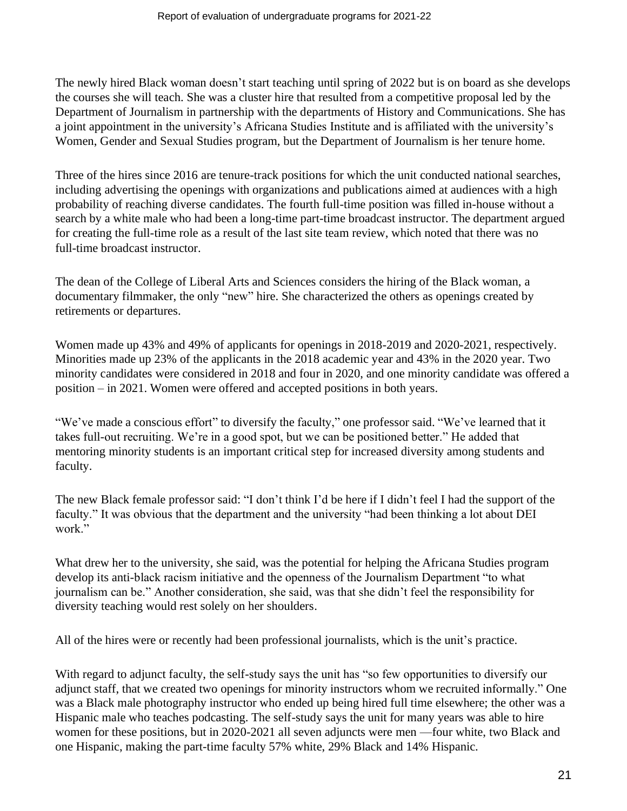The newly hired Black woman doesn't start teaching until spring of 2022 but is on board as she develops the courses she will teach. She was a cluster hire that resulted from a competitive proposal led by the Department of Journalism in partnership with the departments of History and Communications. She has a joint appointment in the university's Africana Studies Institute and is affiliated with the university's Women, Gender and Sexual Studies program, but the Department of Journalism is her tenure home.

Three of the hires since 2016 are tenure-track positions for which the unit conducted national searches, including advertising the openings with organizations and publications aimed at audiences with a high probability of reaching diverse candidates. The fourth full-time position was filled in-house without a search by a white male who had been a long-time part-time broadcast instructor. The department argued for creating the full-time role as a result of the last site team review, which noted that there was no full-time broadcast instructor.

The dean of the College of Liberal Arts and Sciences considers the hiring of the Black woman, a documentary filmmaker, the only "new" hire. She characterized the others as openings created by retirements or departures.

Women made up 43% and 49% of applicants for openings in 2018-2019 and 2020-2021, respectively. Minorities made up 23% of the applicants in the 2018 academic year and 43% in the 2020 year. Two minority candidates were considered in 2018 and four in 2020, and one minority candidate was offered a position – in 2021. Women were offered and accepted positions in both years.

"We've made a conscious effort" to diversify the faculty," one professor said. "We've learned that it takes full-out recruiting. We're in a good spot, but we can be positioned better." He added that mentoring minority students is an important critical step for increased diversity among students and faculty.

The new Black female professor said: "I don't think I'd be here if I didn't feel I had the support of the faculty." It was obvious that the department and the university "had been thinking a lot about DEI work."

What drew her to the university, she said, was the potential for helping the Africana Studies program develop its anti-black racism initiative and the openness of the Journalism Department "to what journalism can be." Another consideration, she said, was that she didn't feel the responsibility for diversity teaching would rest solely on her shoulders.

All of the hires were or recently had been professional journalists, which is the unit's practice.

With regard to adjunct faculty, the self-study says the unit has "so few opportunities to diversify our adjunct staff, that we created two openings for minority instructors whom we recruited informally." One was a Black male photography instructor who ended up being hired full time elsewhere; the other was a Hispanic male who teaches podcasting. The self-study says the unit for many years was able to hire women for these positions, but in 2020-2021 all seven adjuncts were men —four white, two Black and one Hispanic, making the part-time faculty 57% white, 29% Black and 14% Hispanic.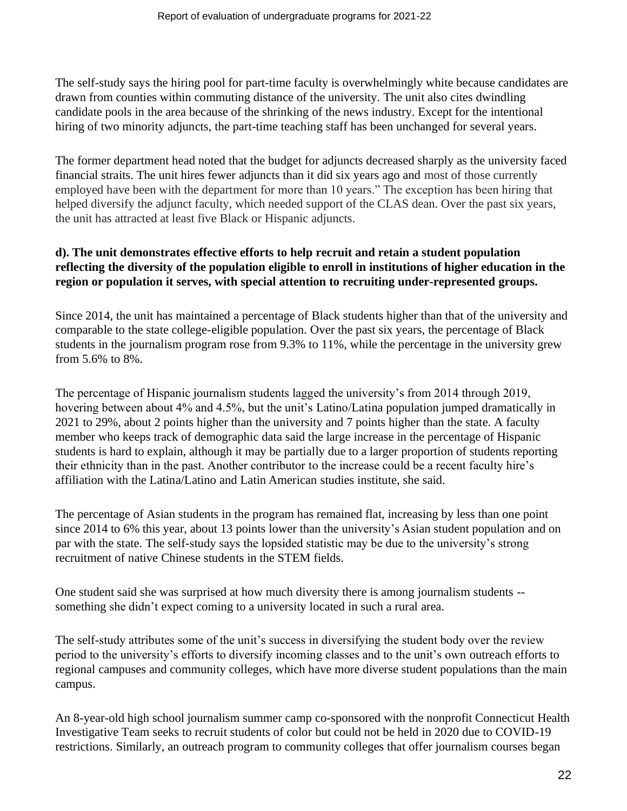The self-study says the hiring pool for part-time faculty is overwhelmingly white because candidates are drawn from counties within commuting distance of the university. The unit also cites dwindling candidate pools in the area because of the shrinking of the news industry. Except for the intentional hiring of two minority adjuncts, the part-time teaching staff has been unchanged for several years.

The former department head noted that the budget for adjuncts decreased sharply as the university faced financial straits. The unit hires fewer adjuncts than it did six years ago and most of those currently employed have been with the department for more than 10 years." The exception has been hiring that helped diversify the adjunct faculty, which needed support of the CLAS dean. Over the past six years, the unit has attracted at least five Black or Hispanic adjuncts.

### **d). The unit demonstrates effective efforts to help recruit and retain a student population reflecting the diversity of the population eligible to enroll in institutions of higher education in the region or population it serves, with special attention to recruiting under-represented groups.**

Since 2014, the unit has maintained a percentage of Black students higher than that of the university and comparable to the state college-eligible population. Over the past six years, the percentage of Black students in the journalism program rose from 9.3% to 11%, while the percentage in the university grew from 5.6% to 8%.

The percentage of Hispanic journalism students lagged the university's from 2014 through 2019, hovering between about 4% and 4.5%, but the unit's Latino/Latina population jumped dramatically in 2021 to 29%, about 2 points higher than the university and 7 points higher than the state. A faculty member who keeps track of demographic data said the large increase in the percentage of Hispanic students is hard to explain, although it may be partially due to a larger proportion of students reporting their ethnicity than in the past. Another contributor to the increase could be a recent faculty hire's affiliation with the Latina/Latino and Latin American studies institute, she said.

The percentage of Asian students in the program has remained flat, increasing by less than one point since 2014 to 6% this year, about 13 points lower than the university's Asian student population and on par with the state. The self-study says the lopsided statistic may be due to the university's strong recruitment of native Chinese students in the STEM fields.

One student said she was surprised at how much diversity there is among journalism students - something she didn't expect coming to a university located in such a rural area.

The self-study attributes some of the unit's success in diversifying the student body over the review period to the university's efforts to diversify incoming classes and to the unit's own outreach efforts to regional campuses and community colleges, which have more diverse student populations than the main campus.

An 8-year-old high school journalism summer camp co-sponsored with the nonprofit Connecticut Health Investigative Team seeks to recruit students of color but could not be held in 2020 due to COVID-19 restrictions. Similarly, an outreach program to community colleges that offer journalism courses began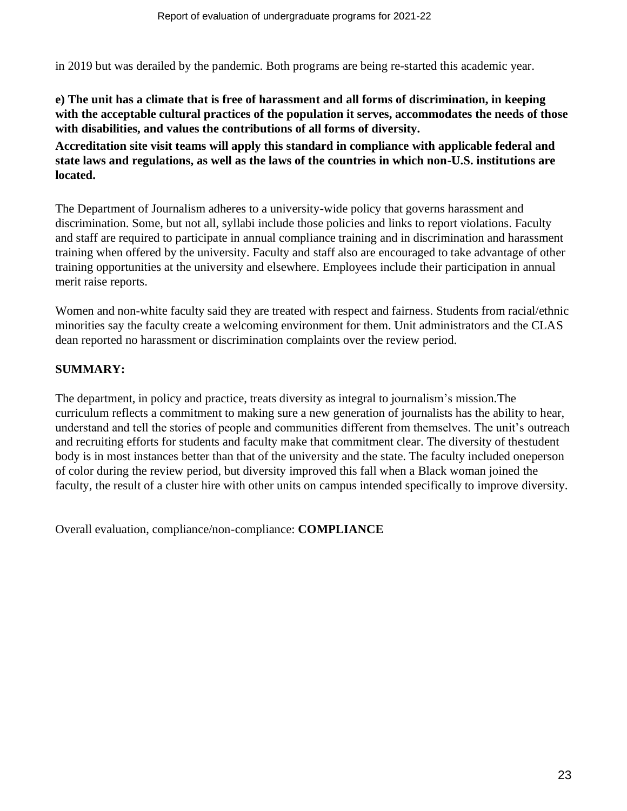in 2019 but was derailed by the pandemic. Both programs are being re-started this academic year.

### **e) The unit has a climate that is free of harassment and all forms of discrimination, in keeping with the acceptable cultural practices of the population it serves, accommodates the needs of those with disabilities, and values the contributions of all forms of diversity.**

**Accreditation site visit teams will apply this standard in compliance with applicable federal and state laws and regulations, as well as the laws of the countries in which non-U.S. institutions are located.**

The Department of Journalism adheres to a university-wide policy that governs harassment and discrimination. Some, but not all, syllabi include those policies and links to report violations. Faculty and staff are required to participate in annual compliance training and in discrimination and harassment training when offered by the university. Faculty and staff also are encouraged to take advantage of other training opportunities at the university and elsewhere. Employees include their participation in annual merit raise reports.

Women and non-white faculty said they are treated with respect and fairness. Students from racial/ethnic minorities say the faculty create a welcoming environment for them. Unit administrators and the CLAS dean reported no harassment or discrimination complaints over the review period.

# **SUMMARY:**

The department, in policy and practice, treats diversity as integral to journalism's mission.The curriculum reflects a commitment to making sure a new generation of journalists has the ability to hear, understand and tell the stories of people and communities different from themselves. The unit's outreach and recruiting efforts for students and faculty make that commitment clear. The diversity of thestudent body is in most instances better than that of the university and the state. The faculty included oneperson of color during the review period, but diversity improved this fall when a Black woman joined the faculty, the result of a cluster hire with other units on campus intended specifically to improve diversity.

Overall evaluation, compliance/non-compliance: **COMPLIANCE**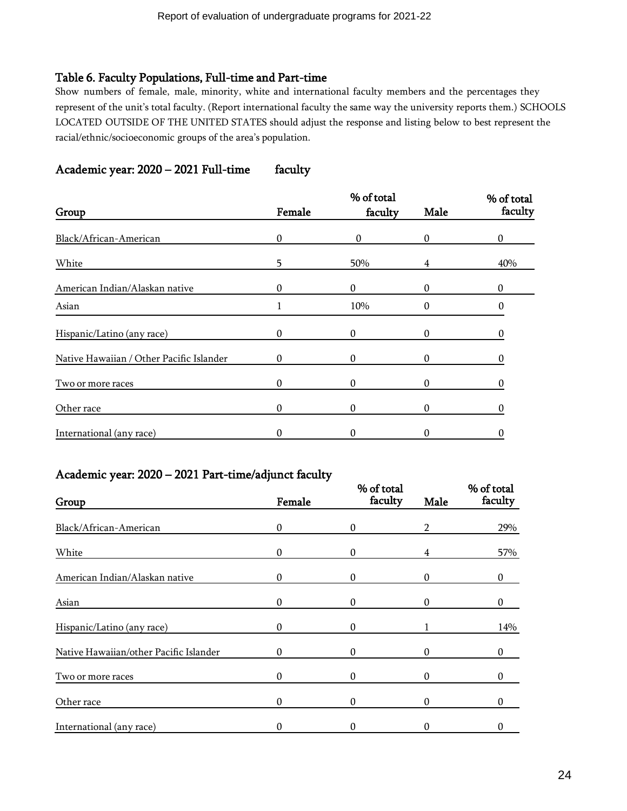### Table 6. Faculty Populations, Full-time and Part-time

Show numbers of female, male, minority, white and international faculty members and the percentages they represent of the unit's total faculty. (Report international faculty the same way the university reports them.) SCHOOLS LOCATED OUTSIDE OF THE UNITED STATES should adjust the response and listing below to best represent the racial/ethnic/socioeconomic groups of the area's population.

# Academic year: 2020 – 2021 Full-time faculty

|                                          |              | % of total   |              |         |
|------------------------------------------|--------------|--------------|--------------|---------|
| Group                                    | Female       | faculty      | Male         | faculty |
| Black/African-American                   | $\theta$     | 0            | $\Omega$     | 0       |
| White                                    | 5            | 50%          | 4            | 40%     |
| American Indian/Alaskan native           | $\Omega$     | $\mathbf{0}$ | $\Omega$     | 0       |
| Asian                                    |              | 10%          | 0            | 0       |
| Hispanic/Latino (any race)               | $\mathbf{0}$ | $\mathbf{0}$ | $\mathbf{0}$ |         |
| Native Hawaiian / Other Pacific Islander | $\mathbf{0}$ | 0            | 0            |         |
| Two or more races                        | $\Omega$     | 0            | 0            | 0       |
| Other race                               | $\Omega$     | 0            | 0            |         |
| International (any race)                 | $\theta$     | $\theta$     | 0            | 0       |

### Academic year: 2020 – 2021 Part-time/adjunct faculty

| Group                                  | Female       | % of total<br>faculty | Male     | % of total<br>faculty |
|----------------------------------------|--------------|-----------------------|----------|-----------------------|
| Black/African-American                 | $\mathbf{0}$ | $\Omega$              | 2        | 29%                   |
| White                                  | 0            | $\boldsymbol{0}$      | 4        | 57%                   |
| American Indian/Alaskan native         | 0            | $\Omega$              | 0        | 0                     |
| Asian                                  | 0            | 0                     |          |                       |
| Hispanic/Latino (any race)             | 0            | 0                     |          | 14%                   |
| Native Hawaiian/other Pacific Islander | $\Omega$     | $\Omega$              | $\Omega$ | $\Omega$              |
| Two or more races                      | 0            | $\boldsymbol{0}$      | 0        | 0                     |
| Other race                             | 0            | $\Omega$              | 0        | 0                     |
| International (any race)               | 0            |                       |          |                       |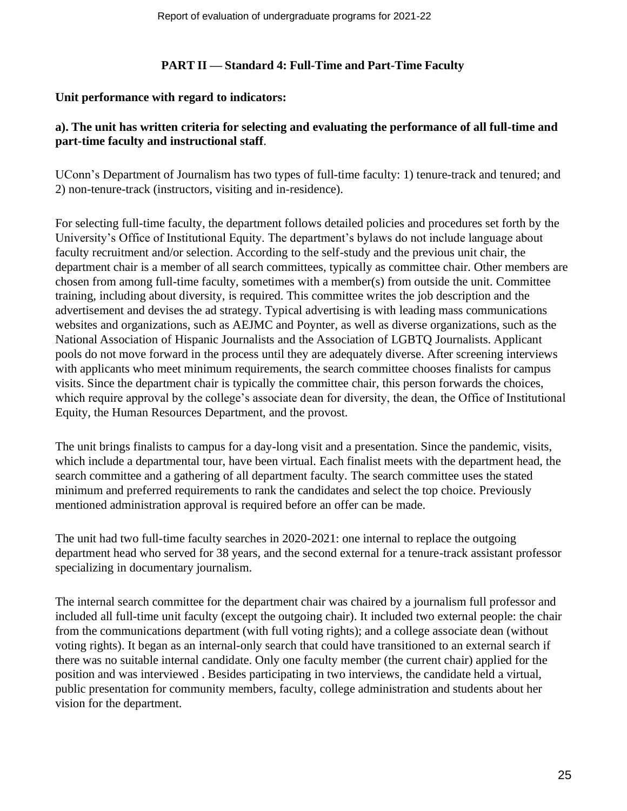### **PART II — Standard 4: Full-Time and Part-Time Faculty**

### **Unit performance with regard to indicators:**

# **a). The unit has written criteria for selecting and evaluating the performance of all full-time and part-time faculty and instructional staff**.

UConn's Department of Journalism has two types of full-time faculty: 1) tenure-track and tenured; and 2) non-tenure-track (instructors, visiting and in-residence).

For selecting full-time faculty, the department follows detailed policies and procedures set forth by the University's Office of Institutional Equity. The department's bylaws do not include language about faculty recruitment and/or selection. According to the self-study and the previous unit chair, the department chair is a member of all search committees, typically as committee chair. Other members are chosen from among full-time faculty, sometimes with a member(s) from outside the unit. Committee training, including about diversity, is required. This committee writes the job description and the advertisement and devises the ad strategy. Typical advertising is with leading mass communications websites and organizations, such as AEJMC and Poynter, as well as diverse organizations, such as the National Association of Hispanic Journalists and the Association of LGBTQ Journalists. Applicant pools do not move forward in the process until they are adequately diverse. After screening interviews with applicants who meet minimum requirements, the search committee chooses finalists for campus visits. Since the department chair is typically the committee chair, this person forwards the choices, which require approval by the college's associate dean for diversity, the dean, the Office of Institutional Equity, the Human Resources Department, and the provost.

The unit brings finalists to campus for a day-long visit and a presentation. Since the pandemic, visits, which include a departmental tour, have been virtual. Each finalist meets with the department head, the search committee and a gathering of all department faculty. The search committee uses the stated minimum and preferred requirements to rank the candidates and select the top choice. Previously mentioned administration approval is required before an offer can be made.

The unit had two full-time faculty searches in 2020-2021: one internal to replace the outgoing department head who served for 38 years, and the second external for a tenure-track assistant professor specializing in documentary journalism.

The internal search committee for the department chair was chaired by a journalism full professor and included all full-time unit faculty (except the outgoing chair). It included two external people: the chair from the communications department (with full voting rights); and a college associate dean (without voting rights). It began as an internal-only search that could have transitioned to an external search if there was no suitable internal candidate. Only one faculty member (the current chair) applied for the position and was interviewed . Besides participating in two interviews, the candidate held a virtual, public presentation for community members, faculty, college administration and students about her vision for the department.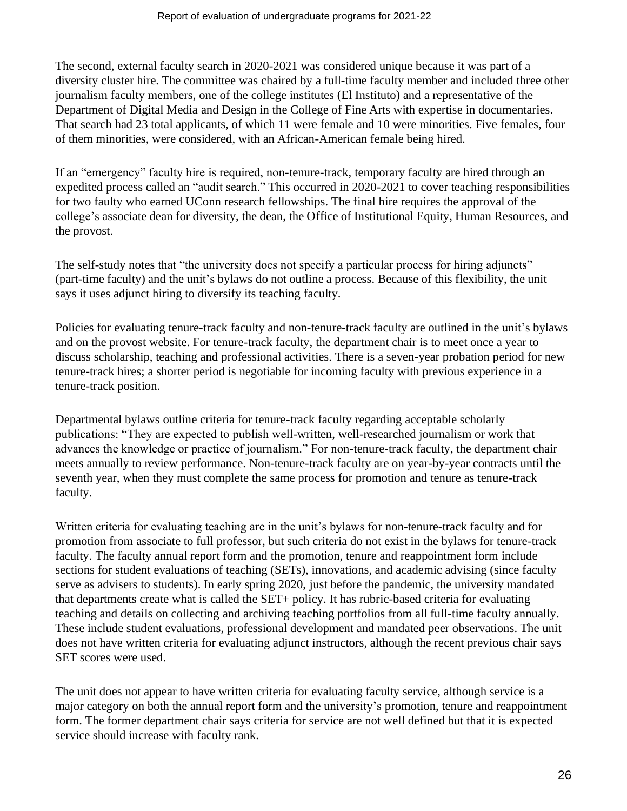The second, external faculty search in 2020-2021 was considered unique because it was part of a diversity cluster hire. The committee was chaired by a full-time faculty member and included three other journalism faculty members, one of the college institutes (El Instituto) and a representative of the Department of Digital Media and Design in the College of Fine Arts with expertise in documentaries. That search had 23 total applicants, of which 11 were female and 10 were minorities. Five females, four of them minorities, were considered, with an African-American female being hired.

If an "emergency" faculty hire is required, non-tenure-track, temporary faculty are hired through an expedited process called an "audit search." This occurred in 2020-2021 to cover teaching responsibilities for two faulty who earned UConn research fellowships. The final hire requires the approval of the college's associate dean for diversity, the dean, the Office of Institutional Equity, Human Resources, and the provost.

The self-study notes that "the university does not specify a particular process for hiring adjuncts" (part-time faculty) and the unit's bylaws do not outline a process. Because of this flexibility, the unit says it uses adjunct hiring to diversify its teaching faculty.

Policies for evaluating tenure-track faculty and non-tenure-track faculty are outlined in the unit's bylaws and on the provost website. For tenure-track faculty, the department chair is to meet once a year to discuss scholarship, teaching and professional activities. There is a seven-year probation period for new tenure-track hires; a shorter period is negotiable for incoming faculty with previous experience in a tenure-track position.

Departmental bylaws outline criteria for tenure-track faculty regarding acceptable scholarly publications: "They are expected to publish well-written, well-researched journalism or work that advances the knowledge or practice of journalism." For non-tenure-track faculty, the department chair meets annually to review performance. Non-tenure-track faculty are on year-by-year contracts until the seventh year, when they must complete the same process for promotion and tenure as tenure-track faculty.

Written criteria for evaluating teaching are in the unit's bylaws for non-tenure-track faculty and for promotion from associate to full professor, but such criteria do not exist in the bylaws for tenure-track faculty. The faculty annual report form and the promotion, tenure and reappointment form include sections for student evaluations of teaching (SETs), innovations, and academic advising (since faculty serve as advisers to students). In early spring 2020, just before the pandemic, the university mandated that departments create what is called the SET+ policy. It has rubric-based criteria for evaluating teaching and details on collecting and archiving teaching portfolios from all full-time faculty annually. These include student evaluations, professional development and mandated peer observations. The unit does not have written criteria for evaluating adjunct instructors, although the recent previous chair says SET scores were used.

The unit does not appear to have written criteria for evaluating faculty service, although service is a major category on both the annual report form and the university's promotion, tenure and reappointment form. The former department chair says criteria for service are not well defined but that it is expected service should increase with faculty rank.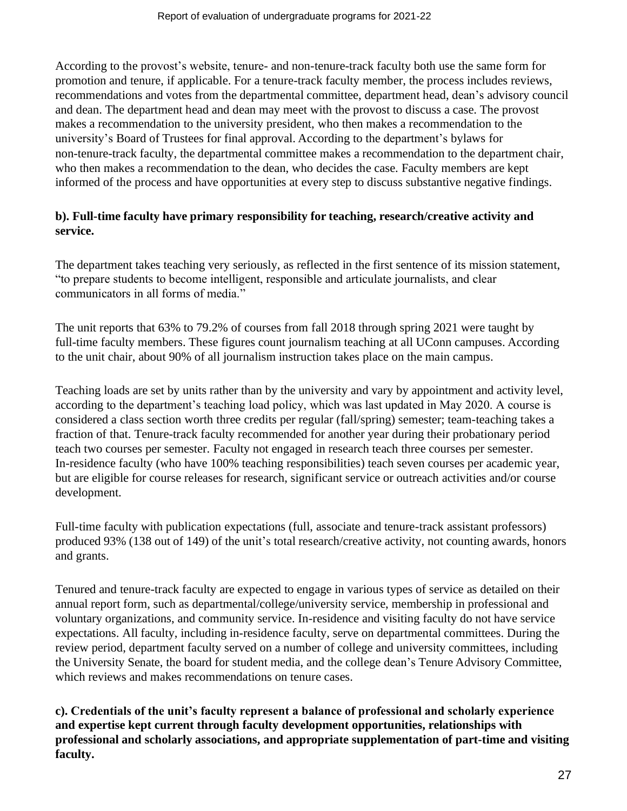According to the provost's website, tenure- and non-tenure-track faculty both use the same form for promotion and tenure, if applicable. For a tenure-track faculty member, the process includes reviews, recommendations and votes from the departmental committee, department head, dean's advisory council and dean. The department head and dean may meet with the provost to discuss a case. The provost makes a recommendation to the university president, who then makes a recommendation to the university's Board of Trustees for final approval. According to the department's bylaws for non-tenure-track faculty, the departmental committee makes a recommendation to the department chair, who then makes a recommendation to the dean, who decides the case. Faculty members are kept informed of the process and have opportunities at every step to discuss substantive negative findings.

# **b). Full-time faculty have primary responsibility for teaching, research/creative activity and service.**

The department takes teaching very seriously, as reflected in the first sentence of its mission statement, "to prepare students to become intelligent, responsible and articulate journalists, and clear communicators in all forms of media."

The unit reports that 63% to 79.2% of courses from fall 2018 through spring 2021 were taught by full-time faculty members. These figures count journalism teaching at all UConn campuses. According to the unit chair, about 90% of all journalism instruction takes place on the main campus.

Teaching loads are set by units rather than by the university and vary by appointment and activity level, according to the department's teaching load policy, which was last updated in May 2020. A course is considered a class section worth three credits per regular (fall/spring) semester; team-teaching takes a fraction of that. Tenure-track faculty recommended for another year during their probationary period teach two courses per semester. Faculty not engaged in research teach three courses per semester. In-residence faculty (who have 100% teaching responsibilities) teach seven courses per academic year, but are eligible for course releases for research, significant service or outreach activities and/or course development.

Full-time faculty with publication expectations (full, associate and tenure-track assistant professors) produced 93% (138 out of 149) of the unit's total research/creative activity, not counting awards, honors and grants.

Tenured and tenure-track faculty are expected to engage in various types of service as detailed on their annual report form, such as departmental/college/university service, membership in professional and voluntary organizations, and community service. In-residence and visiting faculty do not have service expectations. All faculty, including in-residence faculty, serve on departmental committees. During the review period, department faculty served on a number of college and university committees, including the University Senate, the board for student media, and the college dean's Tenure Advisory Committee, which reviews and makes recommendations on tenure cases.

**c). Credentials of the unit's faculty represent a balance of professional and scholarly experience and expertise kept current through faculty development opportunities, relationships with professional and scholarly associations, and appropriate supplementation of part-time and visiting faculty.**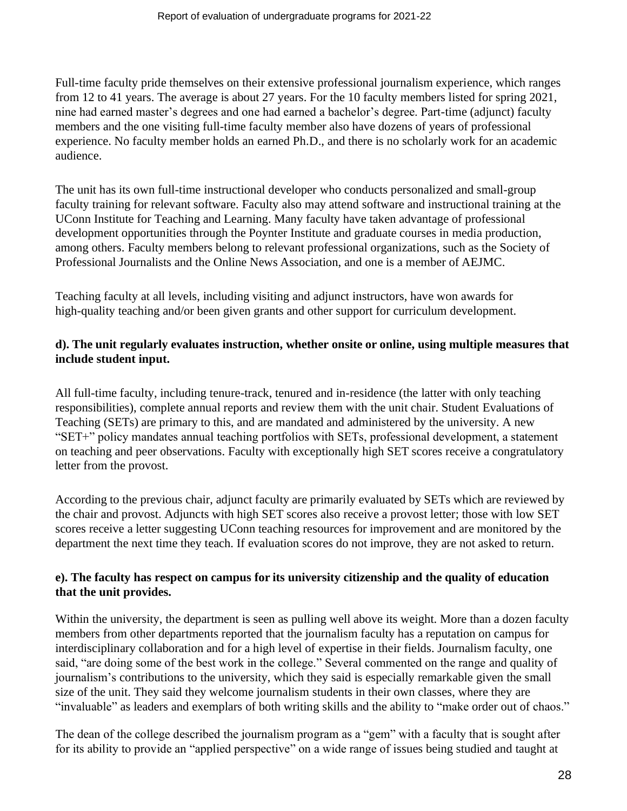Full-time faculty pride themselves on their extensive professional journalism experience, which ranges from 12 to 41 years. The average is about 27 years. For the 10 faculty members listed for spring 2021, nine had earned master's degrees and one had earned a bachelor's degree. Part-time (adjunct) faculty members and the one visiting full-time faculty member also have dozens of years of professional experience. No faculty member holds an earned Ph.D., and there is no scholarly work for an academic audience.

The unit has its own full-time instructional developer who conducts personalized and small-group faculty training for relevant software. Faculty also may attend software and instructional training at the UConn Institute for Teaching and Learning. Many faculty have taken advantage of professional development opportunities through the Poynter Institute and graduate courses in media production, among others. Faculty members belong to relevant professional organizations, such as the Society of Professional Journalists and the Online News Association, and one is a member of AEJMC.

Teaching faculty at all levels, including visiting and adjunct instructors, have won awards for high-quality teaching and/or been given grants and other support for curriculum development.

### **d). The unit regularly evaluates instruction, whether onsite or online, using multiple measures that include student input.**

All full-time faculty, including tenure-track, tenured and in-residence (the latter with only teaching responsibilities), complete annual reports and review them with the unit chair. Student Evaluations of Teaching (SETs) are primary to this, and are mandated and administered by the university. A new "SET+" policy mandates annual teaching portfolios with SETs, professional development, a statement on teaching and peer observations. Faculty with exceptionally high SET scores receive a congratulatory letter from the provost.

According to the previous chair, adjunct faculty are primarily evaluated by SETs which are reviewed by the chair and provost. Adjuncts with high SET scores also receive a provost letter; those with low SET scores receive a letter suggesting UConn teaching resources for improvement and are monitored by the department the next time they teach. If evaluation scores do not improve, they are not asked to return.

# **e). The faculty has respect on campus for its university citizenship and the quality of education that the unit provides.**

Within the university, the department is seen as pulling well above its weight. More than a dozen faculty members from other departments reported that the journalism faculty has a reputation on campus for interdisciplinary collaboration and for a high level of expertise in their fields. Journalism faculty, one said, "are doing some of the best work in the college." Several commented on the range and quality of journalism's contributions to the university, which they said is especially remarkable given the small size of the unit. They said they welcome journalism students in their own classes, where they are "invaluable" as leaders and exemplars of both writing skills and the ability to "make order out of chaos."

The dean of the college described the journalism program as a "gem" with a faculty that is sought after for its ability to provide an "applied perspective" on a wide range of issues being studied and taught at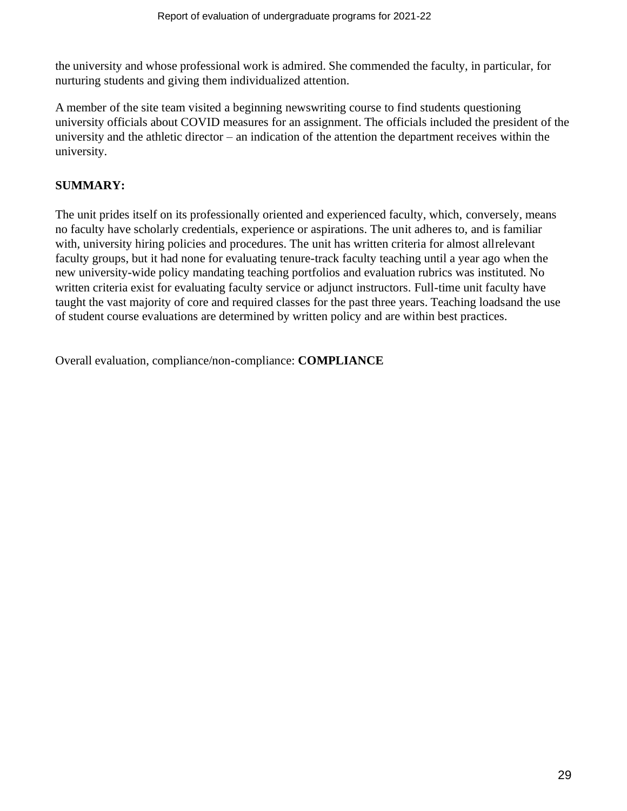the university and whose professional work is admired. She commended the faculty, in particular, for nurturing students and giving them individualized attention.

A member of the site team visited a beginning newswriting course to find students questioning university officials about COVID measures for an assignment. The officials included the president of the university and the athletic director – an indication of the attention the department receives within the university.

### **SUMMARY:**

The unit prides itself on its professionally oriented and experienced faculty, which, conversely, means no faculty have scholarly credentials, experience or aspirations. The unit adheres to, and is familiar with, university hiring policies and procedures. The unit has written criteria for almost allrelevant faculty groups, but it had none for evaluating tenure-track faculty teaching until a year ago when the new university-wide policy mandating teaching portfolios and evaluation rubrics was instituted. No written criteria exist for evaluating faculty service or adjunct instructors. Full-time unit faculty have taught the vast majority of core and required classes for the past three years. Teaching loadsand the use of student course evaluations are determined by written policy and are within best practices.

Overall evaluation, compliance/non-compliance: **COMPLIANCE**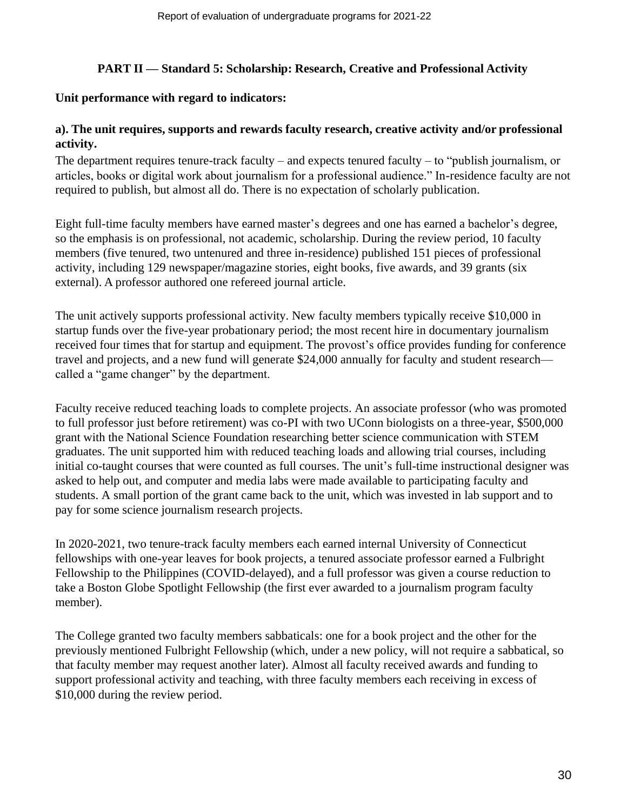### **PART II — Standard 5: Scholarship: Research, Creative and Professional Activity**

### **Unit performance with regard to indicators:**

### **a). The unit requires, supports and rewards faculty research, creative activity and/or professional activity.**

The department requires tenure-track faculty – and expects tenured faculty – to "publish journalism, or articles, books or digital work about journalism for a professional audience." In-residence faculty are not required to publish, but almost all do. There is no expectation of scholarly publication.

Eight full-time faculty members have earned master's degrees and one has earned a bachelor's degree, so the emphasis is on professional, not academic, scholarship. During the review period, 10 faculty members (five tenured, two untenured and three in-residence) published 151 pieces of professional activity, including 129 newspaper/magazine stories, eight books, five awards, and 39 grants (six external). A professor authored one refereed journal article.

The unit actively supports professional activity. New faculty members typically receive \$10,000 in startup funds over the five-year probationary period; the most recent hire in documentary journalism received four times that for startup and equipment. The provost's office provides funding for conference travel and projects, and a new fund will generate \$24,000 annually for faculty and student research called a "game changer" by the department.

Faculty receive reduced teaching loads to complete projects. An associate professor (who was promoted to full professor just before retirement) was co-PI with two UConn biologists on a three-year, \$500,000 grant with the National Science Foundation researching better science communication with STEM graduates. The unit supported him with reduced teaching loads and allowing trial courses, including initial co-taught courses that were counted as full courses. The unit's full-time instructional designer was asked to help out, and computer and media labs were made available to participating faculty and students. A small portion of the grant came back to the unit, which was invested in lab support and to pay for some science journalism research projects.

In 2020-2021, two tenure-track faculty members each earned internal University of Connecticut fellowships with one-year leaves for book projects, a tenured associate professor earned a Fulbright Fellowship to the Philippines (COVID-delayed), and a full professor was given a course reduction to take a Boston Globe Spotlight Fellowship (the first ever awarded to a journalism program faculty member).

The College granted two faculty members sabbaticals: one for a book project and the other for the previously mentioned Fulbright Fellowship (which, under a new policy, will not require a sabbatical, so that faculty member may request another later). Almost all faculty received awards and funding to support professional activity and teaching, with three faculty members each receiving in excess of \$10,000 during the review period.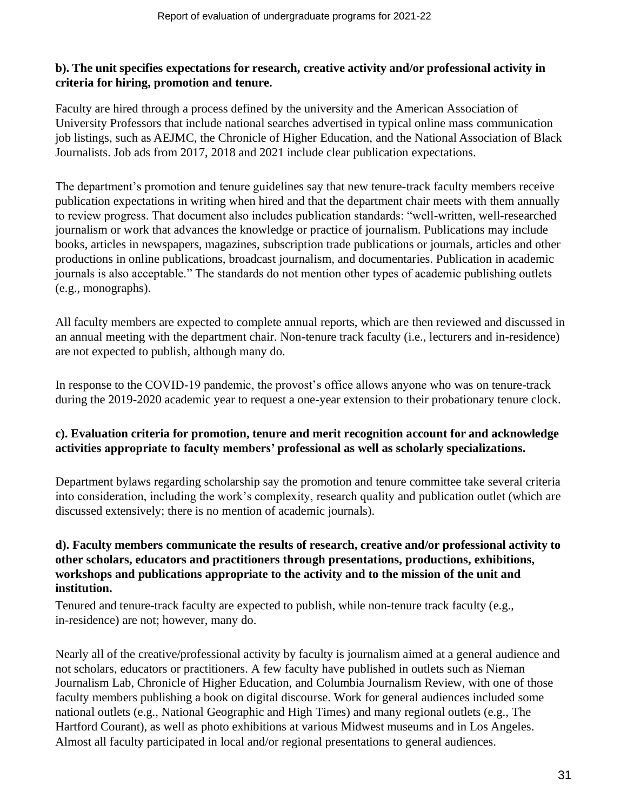### **b). The unit specifies expectations for research, creative activity and/or professional activity in criteria for hiring, promotion and tenure.**

Faculty are hired through a process defined by the university and the American Association of University Professors that include national searches advertised in typical online mass communication job listings, such as AEJMC, the Chronicle of Higher Education, and the National Association of Black Journalists. Job ads from 2017, 2018 and 2021 include clear publication expectations.

The department's promotion and tenure guidelines say that new tenure-track faculty members receive publication expectations in writing when hired and that the department chair meets with them annually to review progress. That document also includes publication standards: "well-written, well-researched journalism or work that advances the knowledge or practice of journalism. Publications may include books, articles in newspapers, magazines, subscription trade publications or journals, articles and other productions in online publications, broadcast journalism, and documentaries. Publication in academic journals is also acceptable." The standards do not mention other types of academic publishing outlets (e.g., monographs).

All faculty members are expected to complete annual reports, which are then reviewed and discussed in an annual meeting with the department chair. Non-tenure track faculty (i.e., lecturers and in-residence) are not expected to publish, although many do.

In response to the COVID-19 pandemic, the provost's office allows anyone who was on tenure-track during the 2019-2020 academic year to request a one-year extension to their probationary tenure clock.

### **c). Evaluation criteria for promotion, tenure and merit recognition account for and acknowledge activities appropriate to faculty members' professional as well as scholarly specializations.**

Department bylaws regarding scholarship say the promotion and tenure committee take several criteria into consideration, including the work's complexity, research quality and publication outlet (which are discussed extensively; there is no mention of academic journals).

# **d). Faculty members communicate the results of research, creative and/or professional activity to other scholars, educators and practitioners through presentations, productions, exhibitions, workshops and publications appropriate to the activity and to the mission of the unit and institution.**

Tenured and tenure-track faculty are expected to publish, while non-tenure track faculty (e.g., in-residence) are not; however, many do.

Nearly all of the creative/professional activity by faculty is journalism aimed at a general audience and not scholars, educators or practitioners. A few faculty have published in outlets such as Nieman Journalism Lab, Chronicle of Higher Education, and Columbia Journalism Review, with one of those faculty members publishing a book on digital discourse. Work for general audiences included some national outlets (e.g., National Geographic and High Times) and many regional outlets (e.g., The Hartford Courant), as well as photo exhibitions at various Midwest museums and in Los Angeles. Almost all faculty participated in local and/or regional presentations to general audiences.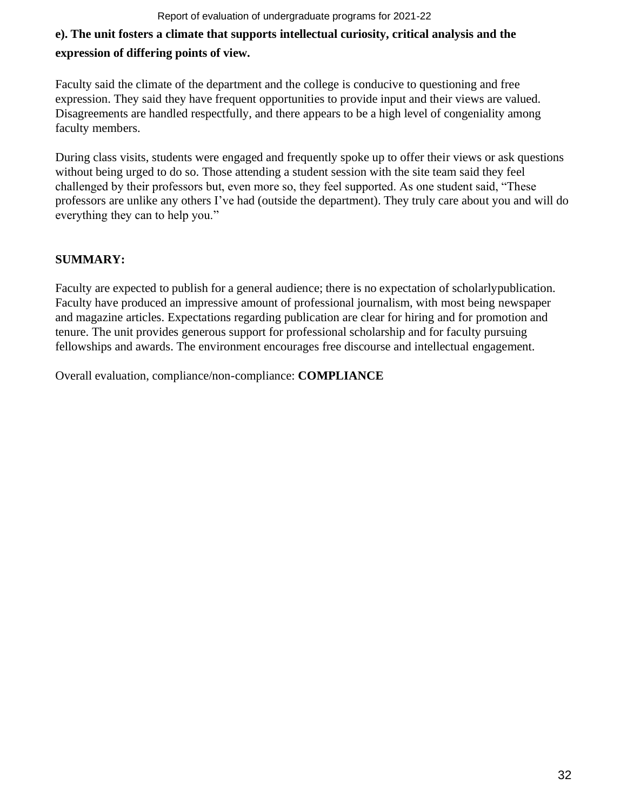#### Report of evaluation of undergraduate programs for 2021-22

# **e). The unit fosters a climate that supports intellectual curiosity, critical analysis and the expression of differing points of view.**

Faculty said the climate of the department and the college is conducive to questioning and free expression. They said they have frequent opportunities to provide input and their views are valued. Disagreements are handled respectfully, and there appears to be a high level of congeniality among faculty members.

During class visits, students were engaged and frequently spoke up to offer their views or ask questions without being urged to do so. Those attending a student session with the site team said they feel challenged by their professors but, even more so, they feel supported. As one student said, "These professors are unlike any others I've had (outside the department). They truly care about you and will do everything they can to help you."

# **SUMMARY:**

Faculty are expected to publish for a general audience; there is no expectation of scholarlypublication. Faculty have produced an impressive amount of professional journalism, with most being newspaper and magazine articles. Expectations regarding publication are clear for hiring and for promotion and tenure. The unit provides generous support for professional scholarship and for faculty pursuing fellowships and awards. The environment encourages free discourse and intellectual engagement.

Overall evaluation, compliance/non-compliance: **COMPLIANCE**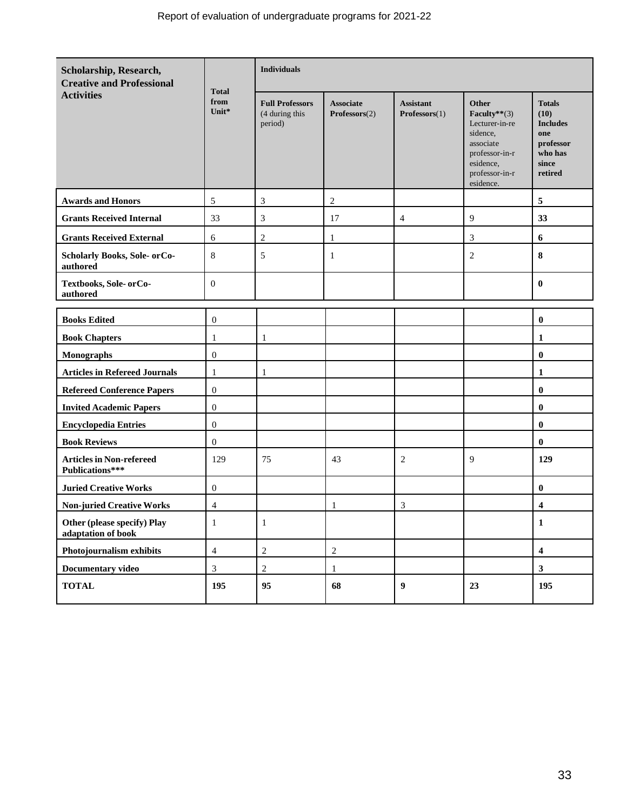| Scholarship, Research,<br><b>Creative and Professional</b> | <b>Total</b><br>from<br>Unit* | <b>Individuals</b>                                  |                                   |                                   |                                                                                                                                   |                                                                                             |
|------------------------------------------------------------|-------------------------------|-----------------------------------------------------|-----------------------------------|-----------------------------------|-----------------------------------------------------------------------------------------------------------------------------------|---------------------------------------------------------------------------------------------|
| <b>Activities</b>                                          |                               | <b>Full Professors</b><br>(4 during this<br>period) | <b>Associate</b><br>Professors(2) | <b>Assistant</b><br>Professors(1) | Other<br>Faculty** $(3)$<br>Lecturer-in-re<br>sidence.<br>associate<br>professor-in-r<br>esidence,<br>professor-in-r<br>esidence. | <b>Totals</b><br>(10)<br><b>Includes</b><br>one<br>professor<br>who has<br>since<br>retired |
| <b>Awards and Honors</b>                                   | 5                             | $\mathfrak{Z}$                                      | $\overline{2}$                    |                                   |                                                                                                                                   | 5                                                                                           |
| <b>Grants Received Internal</b>                            | 33                            | $\mathfrak{Z}$                                      | 17                                | $\overline{4}$                    | 9                                                                                                                                 | 33                                                                                          |
| <b>Grants Received External</b>                            | 6                             | $\overline{2}$                                      | $\mathbf{1}$                      |                                   | 3                                                                                                                                 | 6                                                                                           |
| <b>Scholarly Books, Sole- orCo-</b><br>authored            | 8                             | 5                                                   | 1                                 |                                   | $\overline{c}$                                                                                                                    | 8                                                                                           |
| Textbooks, Sole- or Co-<br>authored                        | $\mathbf{0}$                  |                                                     |                                   |                                   |                                                                                                                                   | $\bf{0}$                                                                                    |
|                                                            |                               |                                                     |                                   |                                   |                                                                                                                                   |                                                                                             |
| <b>Books Edited</b>                                        | $\overline{0}$                |                                                     |                                   |                                   |                                                                                                                                   | $\bf{0}$                                                                                    |
| <b>Book Chapters</b>                                       | $\mathbf{1}$                  | $\mathbf{1}$                                        |                                   |                                   |                                                                                                                                   | 1                                                                                           |
| <b>Monographs</b>                                          | $\mathbf{0}$                  |                                                     |                                   |                                   |                                                                                                                                   | $\bf{0}$                                                                                    |
| <b>Articles in Refereed Journals</b>                       | 1                             | 1                                                   |                                   |                                   |                                                                                                                                   | 1                                                                                           |
| <b>Refereed Conference Papers</b>                          | $\mathbf{0}$                  |                                                     |                                   |                                   |                                                                                                                                   | $\bf{0}$                                                                                    |
| <b>Invited Academic Papers</b>                             | $\mathbf{0}$                  |                                                     |                                   |                                   |                                                                                                                                   | $\bf{0}$                                                                                    |
| <b>Encyclopedia Entries</b>                                | $\overline{0}$                |                                                     |                                   |                                   |                                                                                                                                   | $\bf{0}$                                                                                    |
| <b>Book Reviews</b>                                        | $\mathbf{0}$                  |                                                     |                                   |                                   |                                                                                                                                   | $\bf{0}$                                                                                    |
| <b>Articles in Non-refereed</b><br>Publications***         | 129                           | 75                                                  | 43                                | 2                                 | 9                                                                                                                                 | 129                                                                                         |
| <b>Juried Creative Works</b>                               | $\mathbf{0}$                  |                                                     |                                   |                                   |                                                                                                                                   | $\bf{0}$                                                                                    |
| <b>Non-juried Creative Works</b>                           | $\overline{4}$                |                                                     | -1                                | $\mathfrak{Z}$                    |                                                                                                                                   | 4                                                                                           |
| Other (please specify) Play<br>adaptation of book          | $\mathbf{1}$                  | $\mathbf{1}$                                        |                                   |                                   |                                                                                                                                   | $\mathbf 1$                                                                                 |
| Photojournalism exhibits                                   | $\overline{4}$                | $\sqrt{2}$                                          | $\sqrt{2}$                        |                                   |                                                                                                                                   | $\overline{\mathbf{4}}$                                                                     |
| Documentary video                                          | 3                             | $\overline{c}$                                      | 1                                 |                                   |                                                                                                                                   | $\mathbf{3}$                                                                                |
| <b>TOTAL</b>                                               | 195                           | 95                                                  | 68                                | $\boldsymbol{9}$                  | 23                                                                                                                                | 195                                                                                         |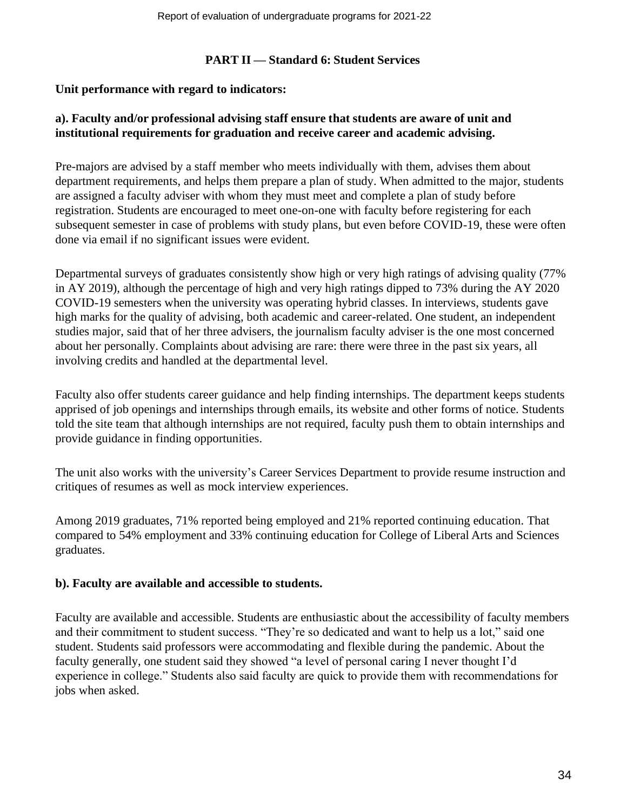### **PART II — Standard 6: Student Services**

### **Unit performance with regard to indicators:**

### **a). Faculty and/or professional advising staff ensure that students are aware of unit and institutional requirements for graduation and receive career and academic advising.**

Pre-majors are advised by a staff member who meets individually with them, advises them about department requirements, and helps them prepare a plan of study. When admitted to the major, students are assigned a faculty adviser with whom they must meet and complete a plan of study before registration. Students are encouraged to meet one-on-one with faculty before registering for each subsequent semester in case of problems with study plans, but even before COVID-19, these were often done via email if no significant issues were evident.

Departmental surveys of graduates consistently show high or very high ratings of advising quality (77% in AY 2019), although the percentage of high and very high ratings dipped to 73% during the AY 2020 COVID-19 semesters when the university was operating hybrid classes. In interviews, students gave high marks for the quality of advising, both academic and career-related. One student, an independent studies major, said that of her three advisers, the journalism faculty adviser is the one most concerned about her personally. Complaints about advising are rare: there were three in the past six years, all involving credits and handled at the departmental level.

Faculty also offer students career guidance and help finding internships. The department keeps students apprised of job openings and internships through emails, its website and other forms of notice. Students told the site team that although internships are not required, faculty push them to obtain internships and provide guidance in finding opportunities.

The unit also works with the university's Career Services Department to provide resume instruction and critiques of resumes as well as mock interview experiences.

Among 2019 graduates, 71% reported being employed and 21% reported continuing education. That compared to 54% employment and 33% continuing education for College of Liberal Arts and Sciences graduates.

### **b). Faculty are available and accessible to students.**

Faculty are available and accessible. Students are enthusiastic about the accessibility of faculty members and their commitment to student success. "They're so dedicated and want to help us a lot," said one student. Students said professors were accommodating and flexible during the pandemic. About the faculty generally, one student said they showed "a level of personal caring I never thought I'd experience in college." Students also said faculty are quick to provide them with recommendations for jobs when asked.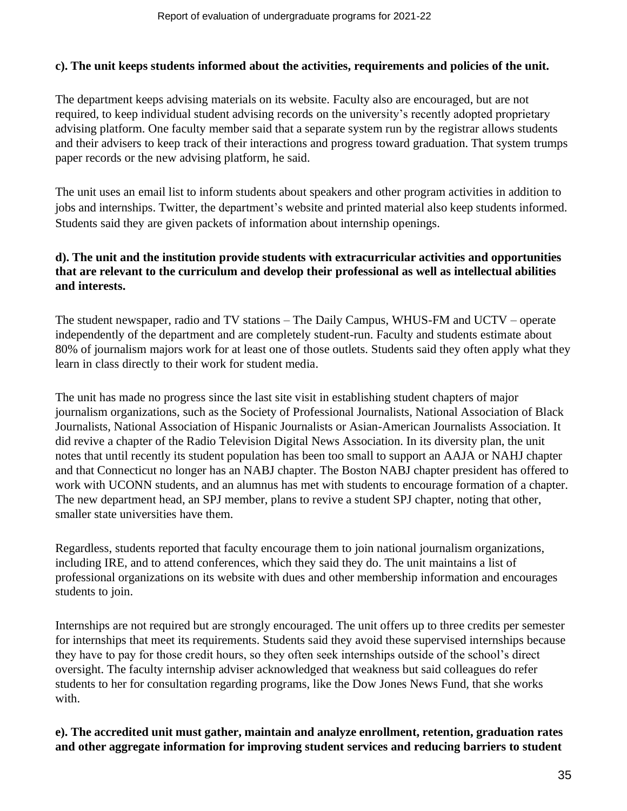### **c). The unit keeps students informed about the activities, requirements and policies of the unit.**

The department keeps advising materials on its website. Faculty also are encouraged, but are not required, to keep individual student advising records on the university's recently adopted proprietary advising platform. One faculty member said that a separate system run by the registrar allows students and their advisers to keep track of their interactions and progress toward graduation. That system trumps paper records or the new advising platform, he said.

The unit uses an email list to inform students about speakers and other program activities in addition to jobs and internships. Twitter, the department's website and printed material also keep students informed. Students said they are given packets of information about internship openings.

# **d). The unit and the institution provide students with extracurricular activities and opportunities that are relevant to the curriculum and develop their professional as well as intellectual abilities and interests.**

The student newspaper, radio and TV stations – The Daily Campus, WHUS-FM and UCTV – operate independently of the department and are completely student-run. Faculty and students estimate about 80% of journalism majors work for at least one of those outlets. Students said they often apply what they learn in class directly to their work for student media.

The unit has made no progress since the last site visit in establishing student chapters of major journalism organizations, such as the Society of Professional Journalists, National Association of Black Journalists, National Association of Hispanic Journalists or Asian-American Journalists Association. It did revive a chapter of the Radio Television Digital News Association. In its diversity plan, the unit notes that until recently its student population has been too small to support an AAJA or NAHJ chapter and that Connecticut no longer has an NABJ chapter. The Boston NABJ chapter president has offered to work with UCONN students, and an alumnus has met with students to encourage formation of a chapter. The new department head, an SPJ member, plans to revive a student SPJ chapter, noting that other, smaller state universities have them.

Regardless, students reported that faculty encourage them to join national journalism organizations, including IRE, and to attend conferences, which they said they do. The unit maintains a list of professional organizations on its website with dues and other membership information and encourages students to join.

Internships are not required but are strongly encouraged. The unit offers up to three credits per semester for internships that meet its requirements. Students said they avoid these supervised internships because they have to pay for those credit hours, so they often seek internships outside of the school's direct oversight. The faculty internship adviser acknowledged that weakness but said colleagues do refer students to her for consultation regarding programs, like the Dow Jones News Fund, that she works with.

### **e). The accredited unit must gather, maintain and analyze enrollment, retention, graduation rates and other aggregate information for improving student services and reducing barriers to student**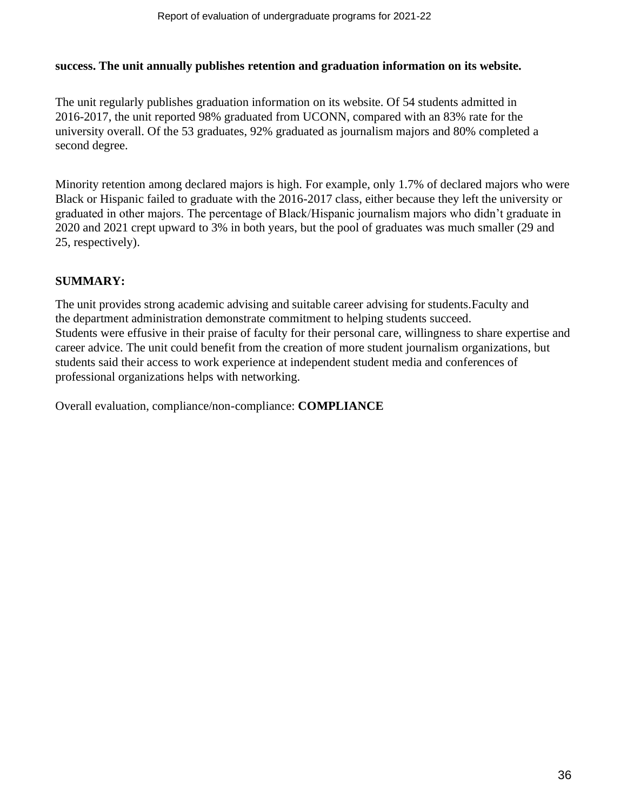### **success. The unit annually publishes retention and graduation information on its website.**

The unit regularly publishes graduation information on its website. Of 54 students admitted in 2016-2017, the unit reported 98% graduated from UCONN, compared with an 83% rate for the university overall. Of the 53 graduates, 92% graduated as journalism majors and 80% completed a second degree.

Minority retention among declared majors is high. For example, only 1.7% of declared majors who were Black or Hispanic failed to graduate with the 2016-2017 class, either because they left the university or graduated in other majors. The percentage of Black/Hispanic journalism majors who didn't graduate in 2020 and 2021 crept upward to 3% in both years, but the pool of graduates was much smaller (29 and 25, respectively).

### **SUMMARY:**

The unit provides strong academic advising and suitable career advising for students.Faculty and the department administration demonstrate commitment to helping students succeed. Students were effusive in their praise of faculty for their personal care, willingness to share expertise and career advice. The unit could benefit from the creation of more student journalism organizations, but students said their access to work experience at independent student media and conferences of professional organizations helps with networking.

Overall evaluation, compliance/non-compliance: **COMPLIANCE**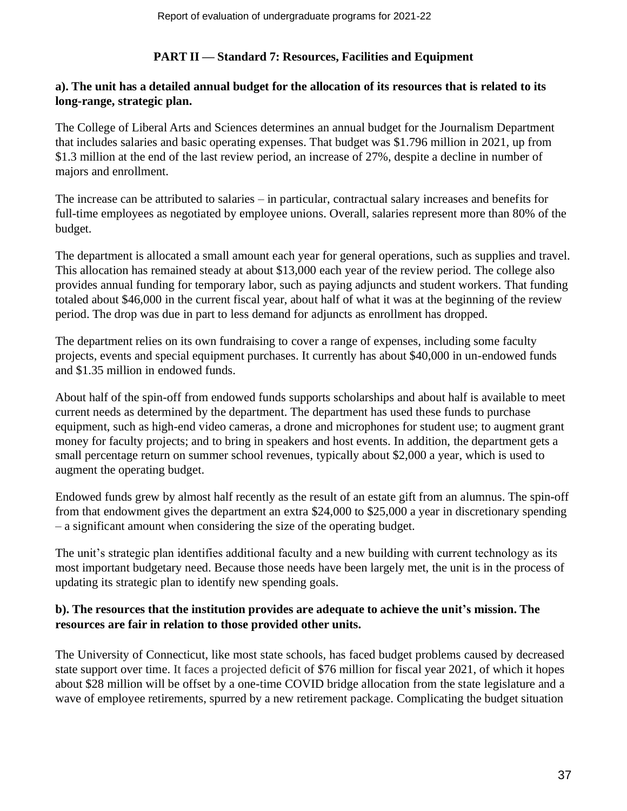### **PART II — Standard 7: Resources, Facilities and Equipment**

### a). The unit has a detailed annual budget for the allocation of its resources that is related to its **long-range, strategic plan.**

The College of Liberal Arts and Sciences determines an annual budget for the Journalism Department that includes salaries and basic operating expenses. That budget was \$1.796 million in 2021, up from \$1.3 million at the end of the last review period, an increase of 27%, despite a decline in number of majors and enrollment.

The increase can be attributed to salaries – in particular, contractual salary increases and benefits for full-time employees as negotiated by employee unions. Overall, salaries represent more than 80% of the budget.

The department is allocated a small amount each year for general operations, such as supplies and travel. This allocation has remained steady at about \$13,000 each year of the review period. The college also provides annual funding for temporary labor, such as paying adjuncts and student workers. That funding totaled about \$46,000 in the current fiscal year, about half of what it was at the beginning of the review period. The drop was due in part to less demand for adjuncts as enrollment has dropped.

The department relies on its own fundraising to cover a range of expenses, including some faculty projects, events and special equipment purchases. It currently has about \$40,000 in un-endowed funds and \$1.35 million in endowed funds.

About half of the spin-off from endowed funds supports scholarships and about half is available to meet current needs as determined by the department. The department has used these funds to purchase equipment, such as high-end video cameras, a drone and microphones for student use; to augment grant money for faculty projects; and to bring in speakers and host events. In addition, the department gets a small percentage return on summer school revenues, typically about \$2,000 a year, which is used to augment the operating budget.

Endowed funds grew by almost half recently as the result of an estate gift from an alumnus. The spin-off from that endowment gives the department an extra \$24,000 to \$25,000 a year in discretionary spending – a significant amount when considering the size of the operating budget.

The unit's strategic plan identifies additional faculty and a new building with current technology as its most important budgetary need. Because those needs have been largely met, the unit is in the process of updating its strategic plan to identify new spending goals.

### **b). The resources that the institution provides are adequate to achieve the unit's mission. The resources are fair in relation to those provided other units.**

The University of Connecticut, like most state schools, has faced budget problems caused by decreased state support over time. It faces a projected deficit of \$76 million for fiscal year 2021, of which it hopes about \$28 million will be offset by a one-time COVID bridge allocation from the state legislature and a wave of employee retirements, spurred by a new retirement package. Complicating the budget situation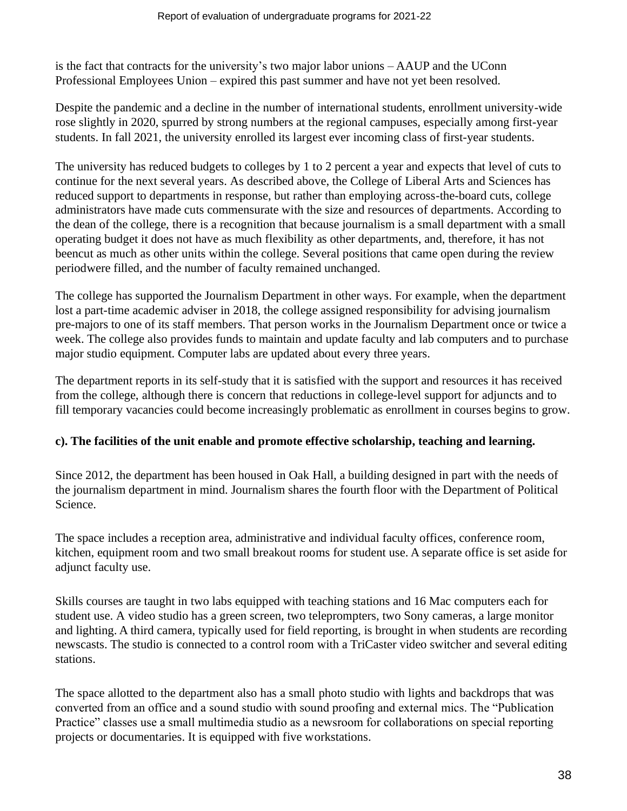is the fact that contracts for the university's two major labor unions – AAUP and the UConn Professional Employees Union – expired this past summer and have not yet been resolved.

Despite the pandemic and a decline in the number of international students, enrollment university-wide rose slightly in 2020, spurred by strong numbers at the regional campuses, especially among first-year students. In fall 2021, the university enrolled its largest ever incoming class of first-year students.

The university has reduced budgets to colleges by 1 to 2 percent a year and expects that level of cuts to continue for the next several years. As described above, the College of Liberal Arts and Sciences has reduced support to departments in response, but rather than employing across-the-board cuts, college administrators have made cuts commensurate with the size and resources of departments. According to the dean of the college, there is a recognition that because journalism is a small department with a small operating budget it does not have as much flexibility as other departments, and, therefore, it has not beencut as much as other units within the college. Several positions that came open during the review periodwere filled, and the number of faculty remained unchanged.

The college has supported the Journalism Department in other ways. For example, when the department lost a part-time academic adviser in 2018, the college assigned responsibility for advising journalism pre-majors to one of its staff members. That person works in the Journalism Department once or twice a week. The college also provides funds to maintain and update faculty and lab computers and to purchase major studio equipment. Computer labs are updated about every three years.

The department reports in its self-study that it is satisfied with the support and resources it has received from the college, although there is concern that reductions in college-level support for adjuncts and to fill temporary vacancies could become increasingly problematic as enrollment in courses begins to grow.

### **c). The facilities of the unit enable and promote effective scholarship, teaching and learning.**

Since 2012, the department has been housed in Oak Hall, a building designed in part with the needs of the journalism department in mind. Journalism shares the fourth floor with the Department of Political Science.

The space includes a reception area, administrative and individual faculty offices, conference room, kitchen, equipment room and two small breakout rooms for student use. A separate office is set aside for adjunct faculty use.

Skills courses are taught in two labs equipped with teaching stations and 16 Mac computers each for student use. A video studio has a green screen, two teleprompters, two Sony cameras, a large monitor and lighting. A third camera, typically used for field reporting, is brought in when students are recording newscasts. The studio is connected to a control room with a TriCaster video switcher and several editing stations.

The space allotted to the department also has a small photo studio with lights and backdrops that was converted from an office and a sound studio with sound proofing and external mics. The "Publication Practice" classes use a small multimedia studio as a newsroom for collaborations on special reporting projects or documentaries. It is equipped with five workstations.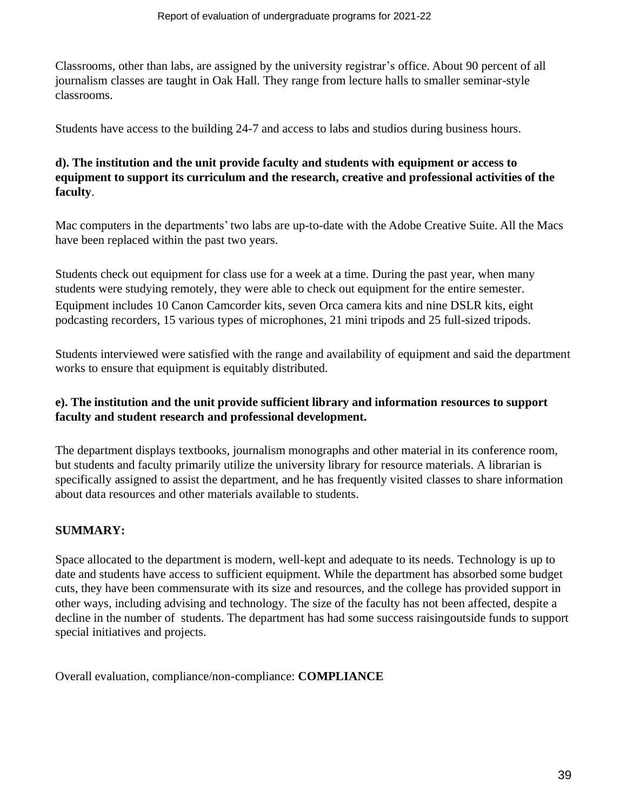Classrooms, other than labs, are assigned by the university registrar's office. About 90 percent of all journalism classes are taught in Oak Hall. They range from lecture halls to smaller seminar-style classrooms.

Students have access to the building 24-7 and access to labs and studios during business hours.

# **d). The institution and the unit provide faculty and students with equipment or access to equipment to support its curriculum and the research, creative and professional activities of the faculty**.

Mac computers in the departments' two labs are up-to-date with the Adobe Creative Suite. All the Macs have been replaced within the past two years.

Students check out equipment for class use for a week at a time. During the past year, when many students were studying remotely, they were able to check out equipment for the entire semester. Equipment includes 10 Canon Camcorder kits, seven Orca camera kits and nine DSLR kits, eight podcasting recorders, 15 various types of microphones, 21 mini tripods and 25 full-sized tripods.

Students interviewed were satisfied with the range and availability of equipment and said the department works to ensure that equipment is equitably distributed.

### **e). The institution and the unit provide sufficient library and information resources to support faculty and student research and professional development.**

The department displays textbooks, journalism monographs and other material in its conference room, but students and faculty primarily utilize the university library for resource materials. A librarian is specifically assigned to assist the department, and he has frequently visited classes to share information about data resources and other materials available to students.

# **SUMMARY:**

Space allocated to the department is modern, well-kept and adequate to its needs. Technology is up to date and students have access to sufficient equipment. While the department has absorbed some budget cuts, they have been commensurate with its size and resources, and the college has provided support in other ways, including advising and technology. The size of the faculty has not been affected, despite a decline in the number of students. The department has had some success raisingoutside funds to support special initiatives and projects.

Overall evaluation, compliance/non-compliance: **COMPLIANCE**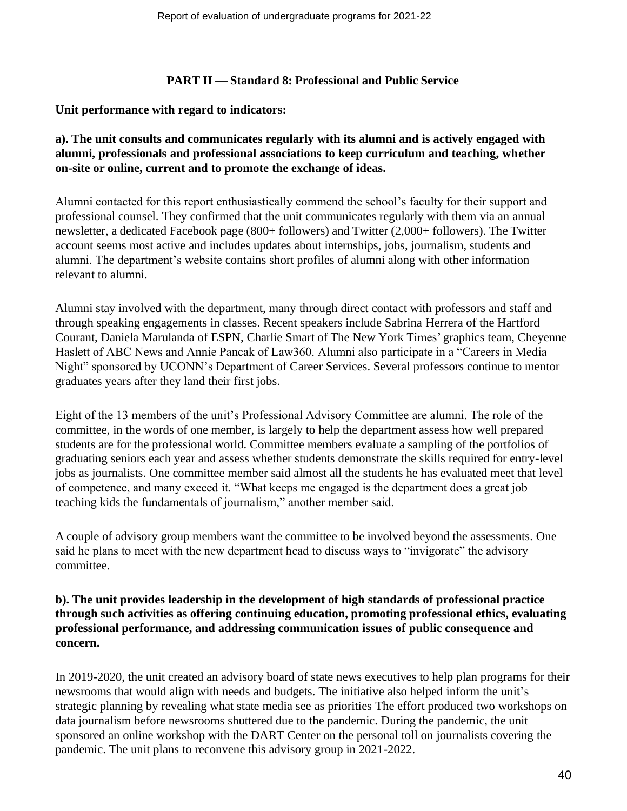### **PART II — Standard 8: Professional and Public Service**

### **Unit performance with regard to indicators:**

### **a). The unit consults and communicates regularly with its alumni and is actively engaged with alumni, professionals and professional associations to keep curriculum and teaching, whether on-site or online, current and to promote the exchange of ideas.**

Alumni contacted for this report enthusiastically commend the school's faculty for their support and professional counsel. They confirmed that the unit communicates regularly with them via an annual newsletter, a dedicated Facebook page (800+ followers) and Twitter (2,000+ followers). The Twitter account seems most active and includes updates about internships, jobs, journalism, students and alumni. The department's website contains short profiles of alumni along with other information relevant to alumni.

Alumni stay involved with the department, many through direct contact with professors and staff and through speaking engagements in classes. Recent speakers include Sabrina Herrera of the Hartford Courant, Daniela Marulanda of ESPN, Charlie Smart of The New York Times' graphics team, Cheyenne Haslett of ABC News and Annie Pancak of Law360. Alumni also participate in a "Careers in Media Night" sponsored by UCONN's Department of Career Services. Several professors continue to mentor graduates years after they land their first jobs.

Eight of the 13 members of the unit's Professional Advisory Committee are alumni. The role of the committee, in the words of one member, is largely to help the department assess how well prepared students are for the professional world. Committee members evaluate a sampling of the portfolios of graduating seniors each year and assess whether students demonstrate the skills required for entry-level jobs as journalists. One committee member said almost all the students he has evaluated meet that level of competence, and many exceed it. "What keeps me engaged is the department does a great job teaching kids the fundamentals of journalism," another member said.

A couple of advisory group members want the committee to be involved beyond the assessments. One said he plans to meet with the new department head to discuss ways to "invigorate" the advisory committee.

### **b). The unit provides leadership in the development of high standards of professional practice through such activities as offering continuing education, promoting professional ethics, evaluating professional performance, and addressing communication issues of public consequence and concern.**

In 2019-2020, the unit created an advisory board of state news executives to help plan programs for their newsrooms that would align with needs and budgets. The initiative also helped inform the unit's strategic planning by revealing what state media see as priorities The effort produced two workshops on data journalism before newsrooms shuttered due to the pandemic. During the pandemic, the unit sponsored an online workshop with the DART Center on the personal toll on journalists covering the pandemic. The unit plans to reconvene this advisory group in 2021-2022.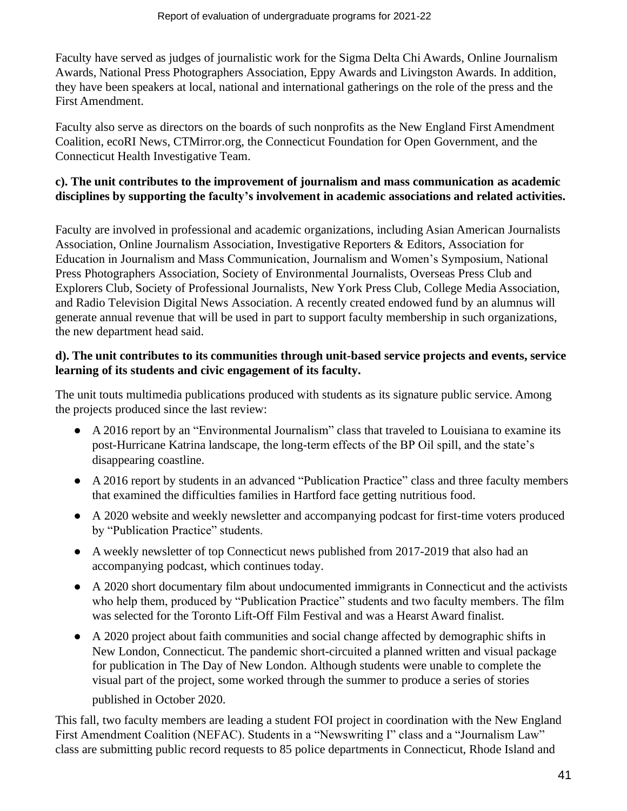Faculty have served as judges of journalistic work for the Sigma Delta Chi Awards, Online Journalism Awards, National Press Photographers Association, Eppy Awards and Livingston Awards. In addition, they have been speakers at local, national and international gatherings on the role of the press and the First Amendment.

Faculty also serve as directors on the boards of such nonprofits as the New England First Amendment Coalition, ecoRI News, CTMirror.org, the Connecticut Foundation for Open Government, and the Connecticut Health Investigative Team.

# **c). The unit contributes to the improvement of journalism and mass communication as academic disciplines by supporting the faculty's involvement in academic associations and related activities.**

Faculty are involved in professional and academic organizations, including Asian American Journalists Association, Online Journalism Association, Investigative Reporters & Editors, Association for Education in Journalism and Mass Communication, Journalism and Women's Symposium, National Press Photographers Association, Society of Environmental Journalists, Overseas Press Club and Explorers Club, Society of Professional Journalists, New York Press Club, College Media Association, and Radio Television Digital News Association. A recently created endowed fund by an alumnus will generate annual revenue that will be used in part to support faculty membership in such organizations, the new department head said.

# **d). The unit contributes to its communities through unit-based service projects and events, service learning of its students and civic engagement of its faculty.**

The unit touts multimedia publications produced with students as its signature public service. Among the projects produced since the last review:

- A 2016 report by an "Environmental Journalism" class that traveled to Louisiana to examine its post-Hurricane Katrina landscape, the long-term effects of the BP Oil spill, and the state's disappearing coastline.
- A 2016 report by students in an advanced "Publication Practice" class and three faculty members that examined the difficulties families in Hartford face getting nutritious food.
- A 2020 website and weekly newsletter and accompanying podcast for first-time voters produced by "Publication Practice" students.
- A weekly newsletter of top Connecticut news published from 2017-2019 that also had an accompanying podcast, which continues today.
- A 2020 short documentary film about undocumented immigrants in Connecticut and the activists who help them, produced by "Publication Practice" students and two faculty members. The film was selected for the Toronto Lift-Off Film Festival and was a Hearst Award finalist.
- A 2020 project about faith communities and social change affected by demographic shifts in New London, Connecticut. The pandemic short-circuited a planned written and visual package for publication in The Day of New London. Although students were unable to complete the visual part of the project, some worked through the summer to produce a series of stories published in October 2020.

This fall, two faculty members are leading a student FOI project in coordination with the New England First Amendment Coalition (NEFAC). Students in a "Newswriting I" class and a "Journalism Law" class are submitting public record requests to 85 police departments in Connecticut, Rhode Island and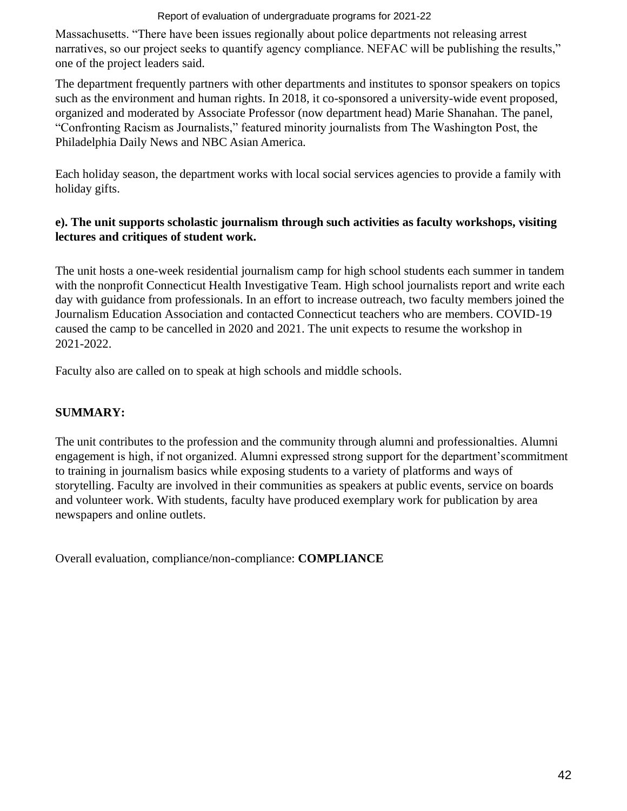### Report of evaluation of undergraduate programs for 2021-22

Massachusetts. "There have been issues regionally about police departments not releasing arrest narratives, so our project seeks to quantify agency compliance. NEFAC will be publishing the results," one of the project leaders said.

The department frequently partners with other departments and institutes to sponsor speakers on topics such as the environment and human rights. In 2018, it co-sponsored a university-wide event proposed, organized and moderated by Associate Professor (now department head) Marie Shanahan. The panel, "Confronting Racism as Journalists," featured minority journalists from The Washington Post, the Philadelphia Daily News and NBC Asian America.

Each holiday season, the department works with local social services agencies to provide a family with holiday gifts.

# **e). The unit supports scholastic journalism through such activities as faculty workshops, visiting lectures and critiques of student work.**

The unit hosts a one-week residential journalism camp for high school students each summer in tandem with the nonprofit Connecticut Health Investigative Team. High school journalists report and write each day with guidance from professionals. In an effort to increase outreach, two faculty members joined the Journalism Education Association and contacted Connecticut teachers who are members. COVID-19 caused the camp to be cancelled in 2020 and 2021. The unit expects to resume the workshop in 2021-2022.

Faculty also are called on to speak at high schools and middle schools.

# **SUMMARY:**

The unit contributes to the profession and the community through alumni and professionalties. Alumni engagement is high, if not organized. Alumni expressed strong support for the department'scommitment to training in journalism basics while exposing students to a variety of platforms and ways of storytelling. Faculty are involved in their communities as speakers at public events, service on boards and volunteer work. With students, faculty have produced exemplary work for publication by area newspapers and online outlets.

Overall evaluation, compliance/non-compliance: **COMPLIANCE**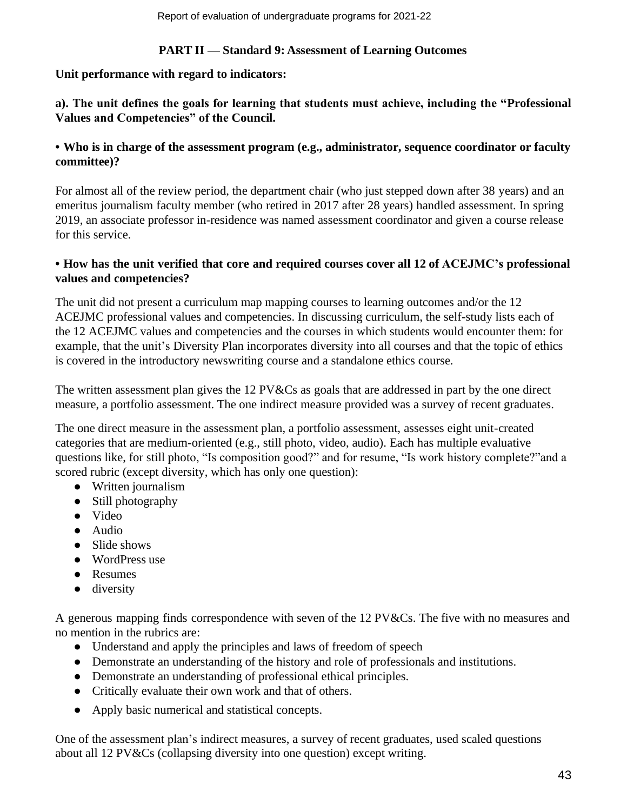### **PART II — Standard 9: Assessment of Learning Outcomes**

### **Unit performance with regard to indicators:**

# **a). The unit defines the goals for learning that students must achieve, including the "Professional Values and Competencies" of the Council.**

### **• Who is in charge of the assessment program (e.g., administrator, sequence coordinator or faculty committee)?**

For almost all of the review period, the department chair (who just stepped down after 38 years) and an emeritus journalism faculty member (who retired in 2017 after 28 years) handled assessment. In spring 2019, an associate professor in-residence was named assessment coordinator and given a course release for this service.

# **• How has the unit verified that core and required courses cover all 12 of ACEJMC's professional values and competencies?**

The unit did not present a curriculum map mapping courses to learning outcomes and/or the 12 ACEJMC professional values and competencies. In discussing curriculum, the self-study lists each of the 12 ACEJMC values and competencies and the courses in which students would encounter them: for example, that the unit's Diversity Plan incorporates diversity into all courses and that the topic of ethics is covered in the introductory newswriting course and a standalone ethics course.

The written assessment plan gives the 12 PV&Cs as goals that are addressed in part by the one direct measure, a portfolio assessment. The one indirect measure provided was a survey of recent graduates.

The one direct measure in the assessment plan, a portfolio assessment, assesses eight unit-created categories that are medium-oriented (e.g., still photo, video, audio). Each has multiple evaluative questions like, for still photo, "Is composition good?" and for resume, "Is work history complete?"and a scored rubric (except diversity, which has only one question):

- Written journalism
- Still photography
- Video
- Audio
- Slide shows
- WordPress use
- Resumes
- diversity

A generous mapping finds correspondence with seven of the 12 PV&Cs. The five with no measures and no mention in the rubrics are:

- Understand and apply the principles and laws of freedom of speech
- Demonstrate an understanding of the history and role of professionals and institutions.
- Demonstrate an understanding of professional ethical principles.
- Critically evaluate their own work and that of others.
- Apply basic numerical and statistical concepts.

One of the assessment plan's indirect measures, a survey of recent graduates, used scaled questions about all 12 PV&Cs (collapsing diversity into one question) except writing.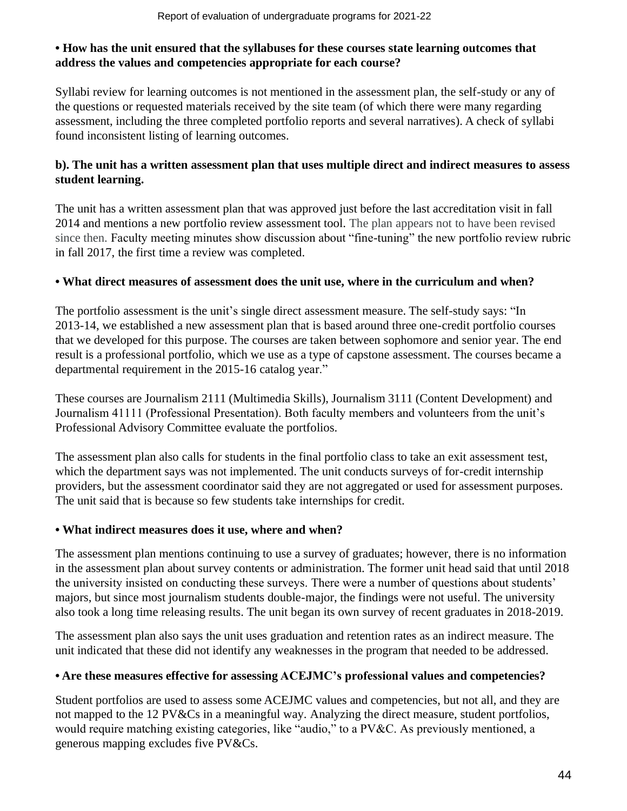### **• How has the unit ensured that the syllabuses for these courses state learning outcomes that address the values and competencies appropriate for each course?**

Syllabi review for learning outcomes is not mentioned in the assessment plan, the self-study or any of the questions or requested materials received by the site team (of which there were many regarding assessment, including the three completed portfolio reports and several narratives). A check of syllabi found inconsistent listing of learning outcomes.

# **b). The unit has a written assessment plan that uses multiple direct and indirect measures to assess student learning.**

The unit has a written assessment plan that was approved just before the last accreditation visit in fall 2014 and mentions a new portfolio review assessment tool. The plan appears not to have been revised since then. Faculty meeting minutes show discussion about "fine-tuning" the new portfolio review rubric in fall 2017, the first time a review was completed.

# **• What direct measures of assessment does the unit use, where in the curriculum and when?**

The portfolio assessment is the unit's single direct assessment measure. The self-study says: "In 2013-14, we established a new assessment plan that is based around three one-credit portfolio courses that we developed for this purpose. The courses are taken between sophomore and senior year. The end result is a professional portfolio, which we use as a type of capstone assessment. The courses became a departmental requirement in the 2015-16 catalog year."

These courses are Journalism 2111 (Multimedia Skills), Journalism 3111 (Content Development) and Journalism 41111 (Professional Presentation). Both faculty members and volunteers from the unit's Professional Advisory Committee evaluate the portfolios.

The assessment plan also calls for students in the final portfolio class to take an exit assessment test, which the department says was not implemented. The unit conducts surveys of for-credit internship providers, but the assessment coordinator said they are not aggregated or used for assessment purposes. The unit said that is because so few students take internships for credit.

### **• What indirect measures does it use, where and when?**

The assessment plan mentions continuing to use a survey of graduates; however, there is no information in the assessment plan about survey contents or administration. The former unit head said that until 2018 the university insisted on conducting these surveys. There were a number of questions about students' majors, but since most journalism students double-major, the findings were not useful. The university also took a long time releasing results. The unit began its own survey of recent graduates in 2018-2019.

The assessment plan also says the unit uses graduation and retention rates as an indirect measure. The unit indicated that these did not identify any weaknesses in the program that needed to be addressed.

# **• Are these measures effective for assessing ACEJMC's professional values and competencies?**

Student portfolios are used to assess some ACEJMC values and competencies, but not all, and they are not mapped to the 12 PV&Cs in a meaningful way. Analyzing the direct measure, student portfolios, would require matching existing categories, like "audio," to a PV&C. As previously mentioned, a generous mapping excludes five PV&Cs.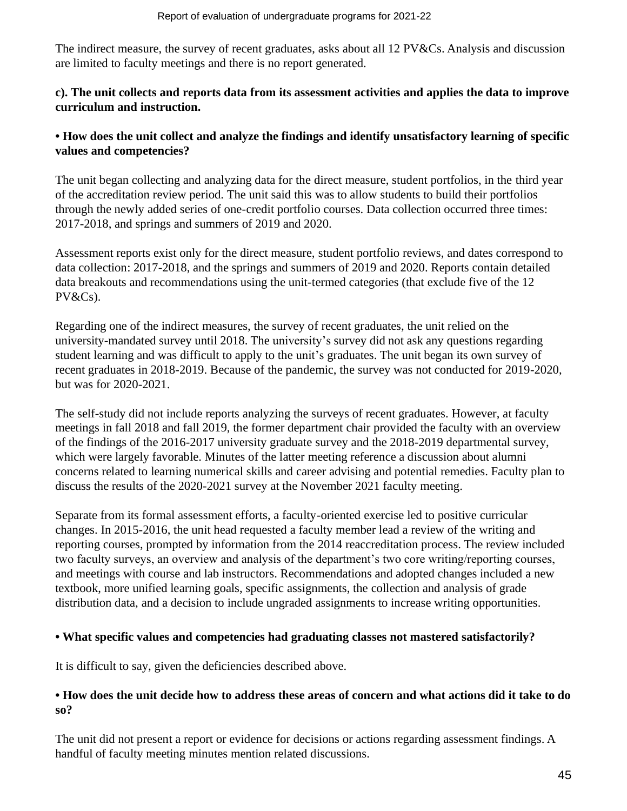The indirect measure, the survey of recent graduates, asks about all 12 PV&Cs. Analysis and discussion are limited to faculty meetings and there is no report generated.

### **c). The unit collects and reports data from its assessment activities and applies the data to improve curriculum and instruction.**

### **• How does the unit collect and analyze the findings and identify unsatisfactory learning of specific values and competencies?**

The unit began collecting and analyzing data for the direct measure, student portfolios, in the third year of the accreditation review period. The unit said this was to allow students to build their portfolios through the newly added series of one-credit portfolio courses. Data collection occurred three times: 2017-2018, and springs and summers of 2019 and 2020.

Assessment reports exist only for the direct measure, student portfolio reviews, and dates correspond to data collection: 2017-2018, and the springs and summers of 2019 and 2020. Reports contain detailed data breakouts and recommendations using the unit-termed categories (that exclude five of the 12 PV&Cs).

Regarding one of the indirect measures, the survey of recent graduates, the unit relied on the university-mandated survey until 2018. The university's survey did not ask any questions regarding student learning and was difficult to apply to the unit's graduates. The unit began its own survey of recent graduates in 2018-2019. Because of the pandemic, the survey was not conducted for 2019-2020, but was for 2020-2021.

The self-study did not include reports analyzing the surveys of recent graduates. However, at faculty meetings in fall 2018 and fall 2019, the former department chair provided the faculty with an overview of the findings of the 2016-2017 university graduate survey and the 2018-2019 departmental survey, which were largely favorable. Minutes of the latter meeting reference a discussion about alumni concerns related to learning numerical skills and career advising and potential remedies. Faculty plan to discuss the results of the 2020-2021 survey at the November 2021 faculty meeting.

Separate from its formal assessment efforts, a faculty-oriented exercise led to positive curricular changes. In 2015-2016, the unit head requested a faculty member lead a review of the writing and reporting courses, prompted by information from the 2014 reaccreditation process. The review included two faculty surveys, an overview and analysis of the department's two core writing/reporting courses, and meetings with course and lab instructors. Recommendations and adopted changes included a new textbook, more unified learning goals, specific assignments, the collection and analysis of grade distribution data, and a decision to include ungraded assignments to increase writing opportunities.

### **• What specific values and competencies had graduating classes not mastered satisfactorily?**

It is difficult to say, given the deficiencies described above.

### • How does the unit decide how to address these areas of concern and what actions did it take to do **so?**

The unit did not present a report or evidence for decisions or actions regarding assessment findings. A handful of faculty meeting minutes mention related discussions.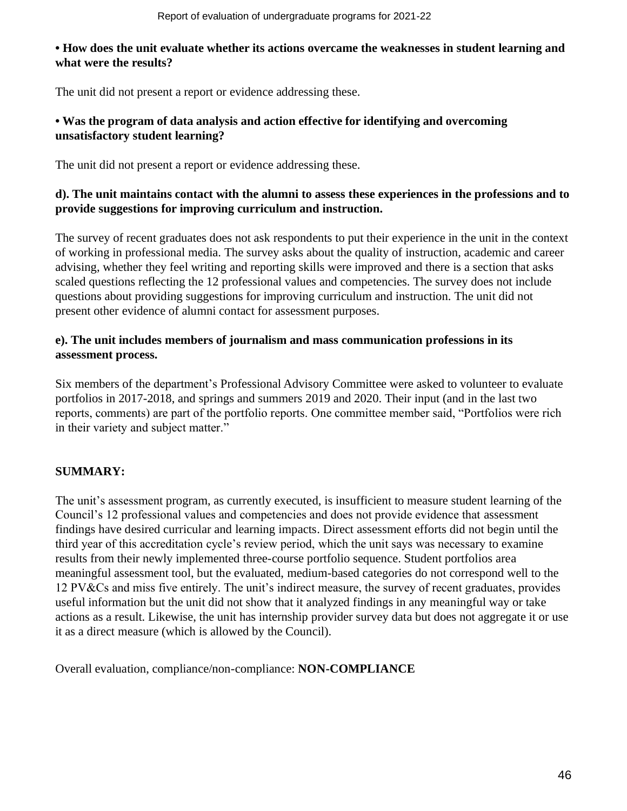### **• How does the unit evaluate whether its actions overcame the weaknesses in student learning and what were the results?**

The unit did not present a report or evidence addressing these.

# **• Was the program of data analysis and action effective for identifying and overcoming unsatisfactory student learning?**

The unit did not present a report or evidence addressing these.

### **d). The unit maintains contact with the alumni to assess these experiences in the professions and to provide suggestions for improving curriculum and instruction.**

The survey of recent graduates does not ask respondents to put their experience in the unit in the context of working in professional media. The survey asks about the quality of instruction, academic and career advising, whether they feel writing and reporting skills were improved and there is a section that asks scaled questions reflecting the 12 professional values and competencies. The survey does not include questions about providing suggestions for improving curriculum and instruction. The unit did not present other evidence of alumni contact for assessment purposes.

# **e). The unit includes members of journalism and mass communication professions in its assessment process.**

Six members of the department's Professional Advisory Committee were asked to volunteer to evaluate portfolios in 2017-2018, and springs and summers 2019 and 2020. Their input (and in the last two reports, comments) are part of the portfolio reports. One committee member said, "Portfolios were rich in their variety and subject matter."

# **SUMMARY:**

The unit's assessment program, as currently executed, is insufficient to measure student learning of the Council's 12 professional values and competencies and does not provide evidence that assessment findings have desired curricular and learning impacts. Direct assessment efforts did not begin until the third year of this accreditation cycle's review period, which the unit says was necessary to examine results from their newly implemented three-course portfolio sequence. Student portfolios area meaningful assessment tool, but the evaluated, medium-based categories do not correspond well to the 12 PV&Cs and miss five entirely. The unit's indirect measure, the survey of recent graduates, provides useful information but the unit did not show that it analyzed findings in any meaningful way or take actions as a result. Likewise, the unit has internship provider survey data but does not aggregate it or use it as a direct measure (which is allowed by the Council).

Overall evaluation, compliance/non-compliance: **NON-COMPLIANCE**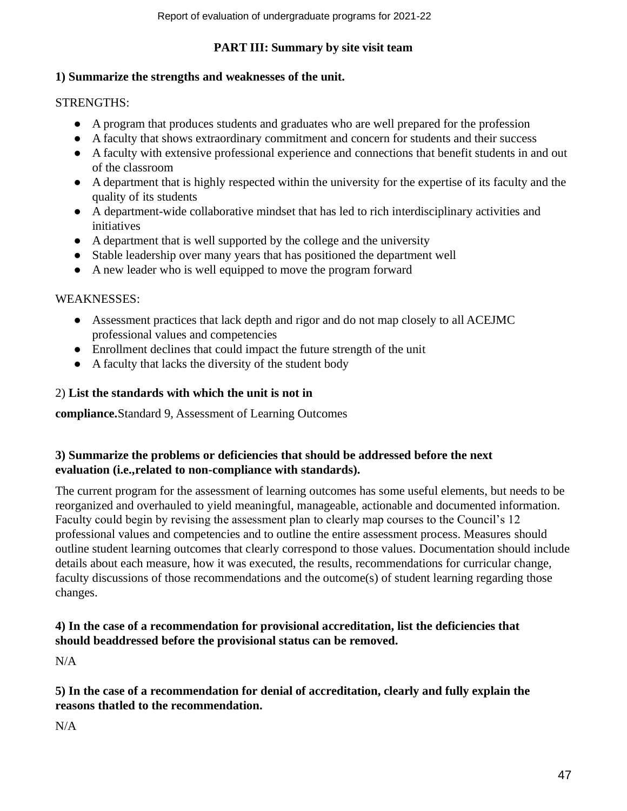### **PART III: Summary by site visit team**

### **1) Summarize the strengths and weaknesses of the unit.**

# STRENGTHS:

- A program that produces students and graduates who are well prepared for the profession
- A faculty that shows extraordinary commitment and concern for students and their success
- A faculty with extensive professional experience and connections that benefit students in and out of the classroom
- A department that is highly respected within the university for the expertise of its faculty and the quality of its students
- A department-wide collaborative mindset that has led to rich interdisciplinary activities and initiatives
- A department that is well supported by the college and the university
- Stable leadership over many years that has positioned the department well
- A new leader who is well equipped to move the program forward

# WEAKNESSES:

- Assessment practices that lack depth and rigor and do not map closely to all ACEJMC professional values and competencies
- Enrollment declines that could impact the future strength of the unit
- A faculty that lacks the diversity of the student body

# 2) **List the standards with which the unit is not in**

**compliance.**Standard 9, Assessment of Learning Outcomes

# **3) Summarize the problems or deficiencies that should be addressed before the next evaluation (i.e.,related to non-compliance with standards).**

The current program for the assessment of learning outcomes has some useful elements, but needs to be reorganized and overhauled to yield meaningful, manageable, actionable and documented information. Faculty could begin by revising the assessment plan to clearly map courses to the Council's 12 professional values and competencies and to outline the entire assessment process. Measures should outline student learning outcomes that clearly correspond to those values. Documentation should include details about each measure, how it was executed, the results, recommendations for curricular change, faculty discussions of those recommendations and the outcome(s) of student learning regarding those changes.

# **4) In the case of a recommendation for provisional accreditation, list the deficiencies that should beaddressed before the provisional status can be removed.**

N/A

# **5) In the case of a recommendation for denial of accreditation, clearly and fully explain the reasons thatled to the recommendation.**

N/A